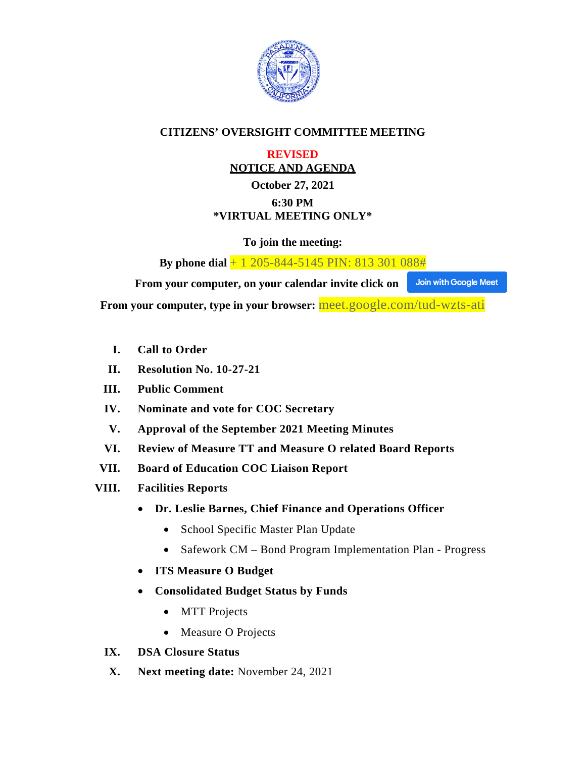

### **CITIZENS' OVERSIGHT COMMITTEE MEETING**

### **REVISED NOTICE AND AGENDA**

### **October 27, 2021 6:30 PM \*VIRTUAL MEETING ONLY\***

**To join the meeting:**

**By phone dial** + 1 205-844-5145 PIN: 813 301 088#

 **From your computer, on your calendar invite click on** Join with Google Meet

**From your computer, type in your browser:** meet.google.com/tud-wzts-ati

- **I. Call to Order**
- **II. Resolution No. 10-27-21**
- **III. Public Comment**
- **IV. Nominate and vote for COC Secretary**
- **V. Approval of the September 2021 Meeting Minutes**
- **VI. Review of Measure TT and Measure O related Board Reports**
- **VII. Board of Education COC Liaison Report**
- **VIII. Facilities Reports**
	- **Dr. Leslie Barnes, Chief Finance and Operations Officer**
		- School Specific Master Plan Update
		- Safework CM Bond Program Implementation Plan Progress
	- **ITS Measure O Budget**
	- **Consolidated Budget Status by Funds**
		- MTT Projects
		- Measure O Projects
	- **IX. DSA Closure Status**
	- **X. Next meeting date:** November 24, 2021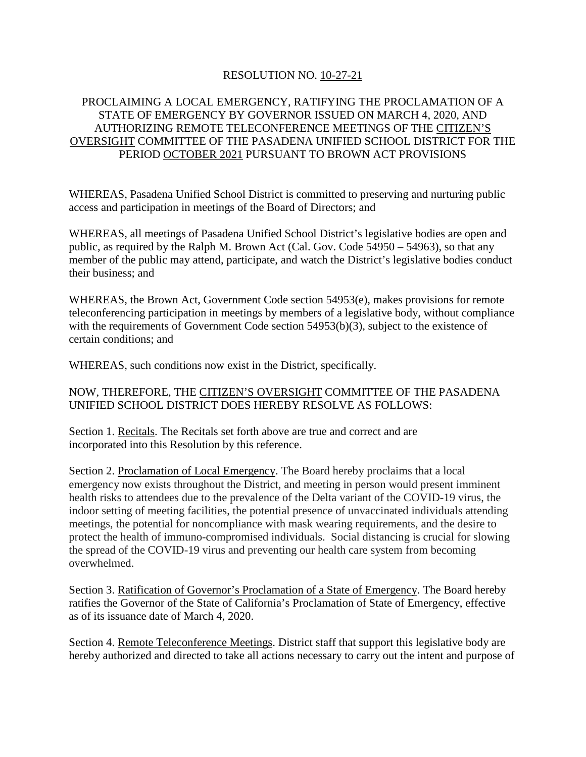### RESOLUTION NO. 10-27-21

### PROCLAIMING A LOCAL EMERGENCY, RATIFYING THE PROCLAMATION OF A STATE OF EMERGENCY BY GOVERNOR ISSUED ON MARCH 4, 2020, AND AUTHORIZING REMOTE TELECONFERENCE MEETINGS OF THE CITIZEN'S OVERSIGHT COMMITTEE OF THE PASADENA UNIFIED SCHOOL DISTRICT FOR THE PERIOD OCTOBER 2021 PURSUANT TO BROWN ACT PROVISIONS

WHEREAS, Pasadena Unified School District is committed to preserving and nurturing public access and participation in meetings of the Board of Directors; and

WHEREAS, all meetings of Pasadena Unified School District's legislative bodies are open and public, as required by the Ralph M. Brown Act (Cal. Gov. Code 54950 – 54963), so that any member of the public may attend, participate, and watch the District's legislative bodies conduct their business; and

WHEREAS, the Brown Act, Government Code section 54953(e), makes provisions for remote teleconferencing participation in meetings by members of a legislative body, without compliance with the requirements of Government Code section 54953(b)(3), subject to the existence of certain conditions; and

WHEREAS, such conditions now exist in the District, specifically.

### NOW, THEREFORE, THE CITIZEN'S OVERSIGHT COMMITTEE OF THE PASADENA UNIFIED SCHOOL DISTRICT DOES HEREBY RESOLVE AS FOLLOWS:

Section 1. Recitals. The Recitals set forth above are true and correct and are incorporated into this Resolution by this reference.

Section 2. Proclamation of Local Emergency. The Board hereby proclaims that a local emergency now exists throughout the District, and meeting in person would present imminent health risks to attendees due to the prevalence of the Delta variant of the COVID-19 virus, the indoor setting of meeting facilities, the potential presence of unvaccinated individuals attending meetings, the potential for noncompliance with mask wearing requirements, and the desire to protect the health of immuno-compromised individuals. Social distancing is crucial for slowing the spread of the COVID-19 virus and preventing our health care system from becoming overwhelmed.

Section 3. Ratification of Governor's Proclamation of a State of Emergency. The Board hereby ratifies the Governor of the State of California's Proclamation of State of Emergency, effective as of its issuance date of March 4, 2020.

Section 4. Remote Teleconference Meetings. District staff that support this legislative body are hereby authorized and directed to take all actions necessary to carry out the intent and purpose of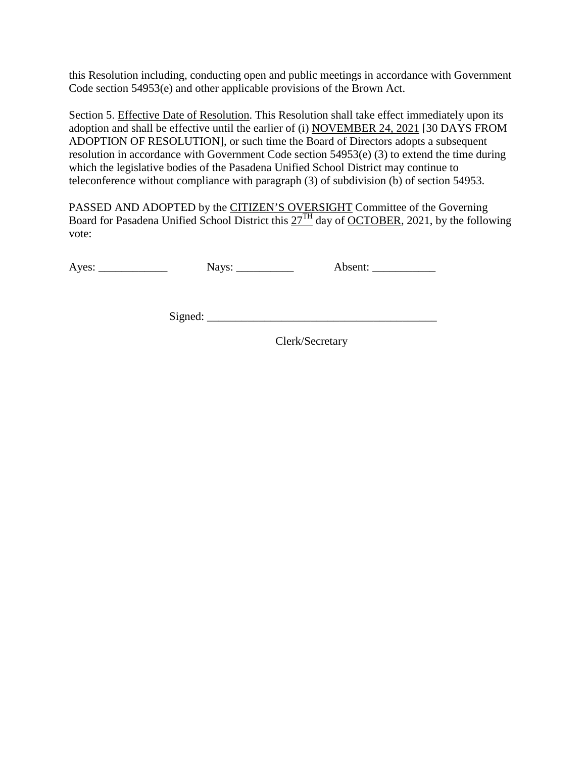this Resolution including, conducting open and public meetings in accordance with Government Code section 54953(e) and other applicable provisions of the Brown Act.

Section 5. Effective Date of Resolution. This Resolution shall take effect immediately upon its adoption and shall be effective until the earlier of (i) NOVEMBER 24, 2021 [30 DAYS FROM ADOPTION OF RESOLUTION], or such time the Board of Directors adopts a subsequent resolution in accordance with Government Code section 54953(e) (3) to extend the time during which the legislative bodies of the Pasadena Unified School District may continue to teleconference without compliance with paragraph (3) of subdivision (b) of section 54953.

PASSED AND ADOPTED by the CITIZEN'S OVERSIGHT Committee of the Governing Board for Pasadena Unified School District this  $27<sup>TH</sup>$  day of OCTOBER, 2021, by the following vote:

Ayes: \_\_\_\_\_\_\_\_\_\_\_\_\_\_\_\_\_ Nays: \_\_\_\_\_\_\_\_\_\_\_ Absent: \_\_\_\_\_\_\_\_\_\_\_\_\_\_\_\_\_\_\_\_\_\_\_\_\_\_\_\_\_\_

Signed: \_\_\_\_\_\_\_\_\_\_\_\_\_\_\_\_\_\_\_\_\_\_\_\_\_\_\_\_\_\_\_\_\_\_\_\_\_\_\_\_

Clerk/Secretary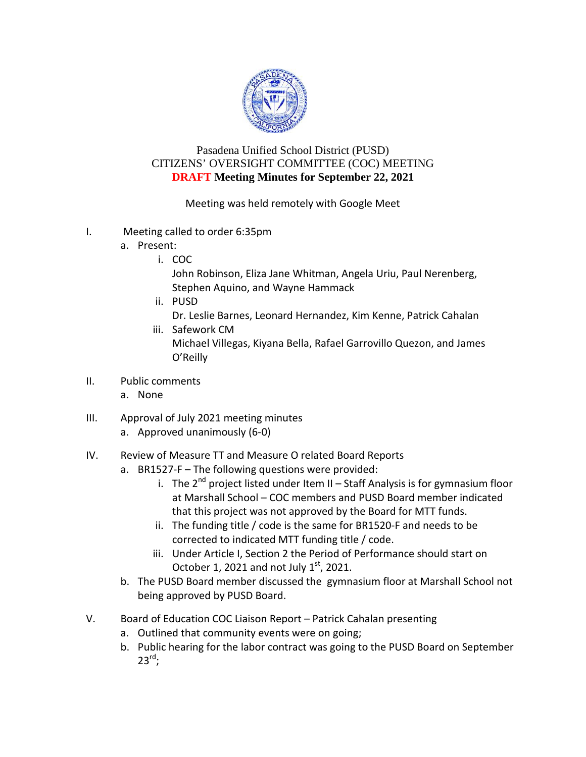

### Pasadena Unified School District (PUSD) CITIZENS' OVERSIGHT COMMITTEE (COC) MEETING **DRAFT Meeting Minutes for September 22, 2021**

Meeting was held remotely with Google Meet

- I. Meeting called to order 6:35pm
	- a. Present:
		- i. COC

John Robinson, Eliza Jane Whitman, Angela Uriu, Paul Nerenberg, Stephen Aquino, and Wayne Hammack

ii. PUSD

Dr. Leslie Barnes, Leonard Hernandez, Kim Kenne, Patrick Cahalan

- iii. Safework CM Michael Villegas, Kiyana Bella, Rafael Garrovillo Quezon, and James O'Reilly
- II. Public comments
	- a. None
- III. Approval of July 2021 meeting minutes
	- a. Approved unanimously (6-0)

### IV. Review of Measure TT and Measure O related Board Reports

- a. BR1527-F The following questions were provided:
	- i. The  $2^{nd}$  project listed under Item II Staff Analysis is for gymnasium floor at Marshall School – COC members and PUSD Board member indicated that this project was not approved by the Board for MTT funds.
	- ii. The funding title / code is the same for BR1520-F and needs to be corrected to indicated MTT funding title / code.
	- iii. Under Article I, Section 2 the Period of Performance should start on October 1, 2021 and not July  $1<sup>st</sup>$ , 2021.
- b. The PUSD Board member discussed the gymnasium floor at Marshall School not being approved by PUSD Board.
- V. Board of Education COC Liaison Report Patrick Cahalan presenting
	- a. Outlined that community events were on going;
	- b. Public hearing for the labor contract was going to the PUSD Board on September  $23^{\text{rd}}$ ;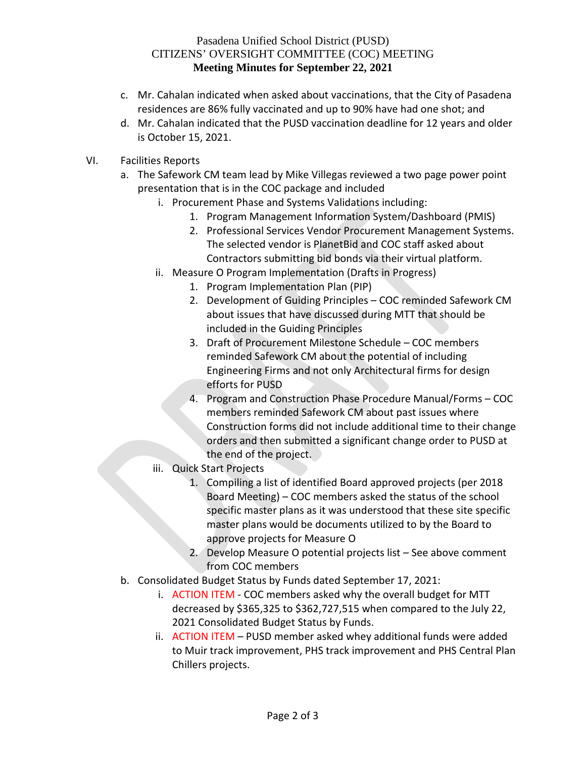### Pasadena Unified School District (PUSD) CITIZENS' OVERSIGHT COMMITTEE (COC) MEETING **Meeting Minutes for September 22, 2021**

- c. Mr. Cahalan indicated when asked about vaccinations, that the City of Pasadena residences are 86% fully vaccinated and up to 90% have had one shot; and
- d. Mr. Cahalan indicated that the PUSD vaccination deadline for 12 years and older is October 15, 2021.
- VI. Facilities Reports
	- a. The Safework CM team lead by Mike Villegas reviewed a two page power point presentation that is in the COC package and included
		- i. Procurement Phase and Systems Validations including:
			- 1. Program Management Information System/Dashboard (PMIS)
			- 2. Professional Services Vendor Procurement Management Systems. The selected vendor is PlanetBid and COC staff asked about Contractors submitting bid bonds via their virtual platform.
		- ii. Measure O Program Implementation (Drafts in Progress)
			- 1. Program Implementation Plan (PIP)
			- 2. Development of Guiding Principles COC reminded Safework CM about issues that have discussed during MTT that should be included in the Guiding Principles
			- 3. Draft of Procurement Milestone Schedule COC members reminded Safework CM about the potential of including Engineering Firms and not only Architectural firms for design efforts for PUSD
			- 4. Program and Construction Phase Procedure Manual/Forms COC members reminded Safework CM about past issues where Construction forms did not include additional time to their change orders and then submitted a significant change order to PUSD at the end of the project.
		- iii. Quick Start Projects
			- 1. Compiling a list of identified Board approved projects (per 2018 Board Meeting) – COC members asked the status of the school specific master plans as it was understood that these site specific master plans would be documents utilized to by the Board to approve projects for Measure O
			- 2. Develop Measure O potential projects list See above comment from COC members
	- b. Consolidated Budget Status by Funds dated September 17, 2021:
		- i. ACTION ITEM COC members asked why the overall budget for MTT decreased by \$365,325 to \$362,727,515 when compared to the July 22, 2021 Consolidated Budget Status by Funds.
		- ii. ACTION ITEM PUSD member asked whey additional funds were added to Muir track improvement, PHS track improvement and PHS Central Plan Chillers projects.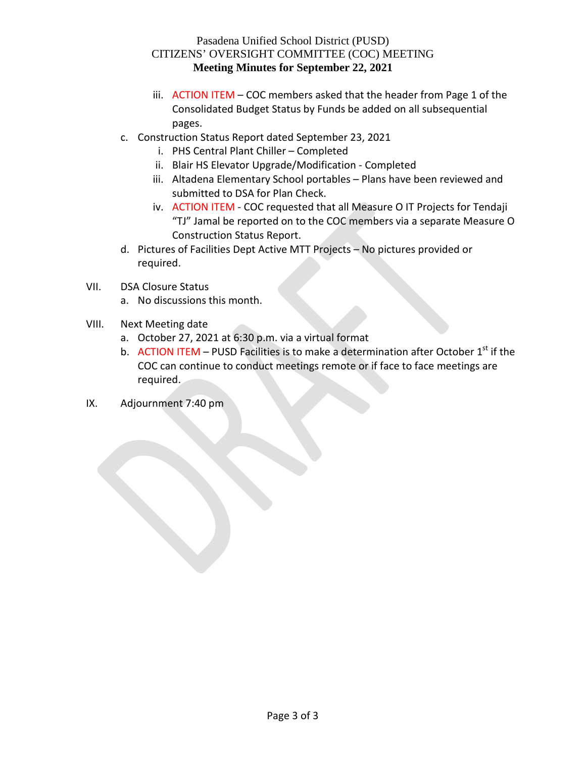### Pasadena Unified School District (PUSD) CITIZENS' OVERSIGHT COMMITTEE (COC) MEETING **Meeting Minutes for September 22, 2021**

- iii. ACTION ITEM COC members asked that the header from Page 1 of the Consolidated Budget Status by Funds be added on all subsequential pages.
- c. Construction Status Report dated September 23, 2021
	- i. PHS Central Plant Chiller Completed
	- ii. Blair HS Elevator Upgrade/Modification Completed
	- iii. Altadena Elementary School portables Plans have been reviewed and submitted to DSA for Plan Check.
	- iv. ACTION ITEM COC requested that all Measure O IT Projects for Tendaji "TJ" Jamal be reported on to the COC members via a separate Measure O Construction Status Report.
- d. Pictures of Facilities Dept Active MTT Projects No pictures provided or required.
- VII. DSA Closure Status
	- a. No discussions this month.
- VIII. Next Meeting date
	- a. October 27, 2021 at 6:30 p.m. via a virtual format
	- b. ACTION ITEM PUSD Facilities is to make a determination after October  $1<sup>st</sup>$  if the COC can continue to conduct meetings remote or if face to face meetings are required.
- IX. Adjournment 7:40 pm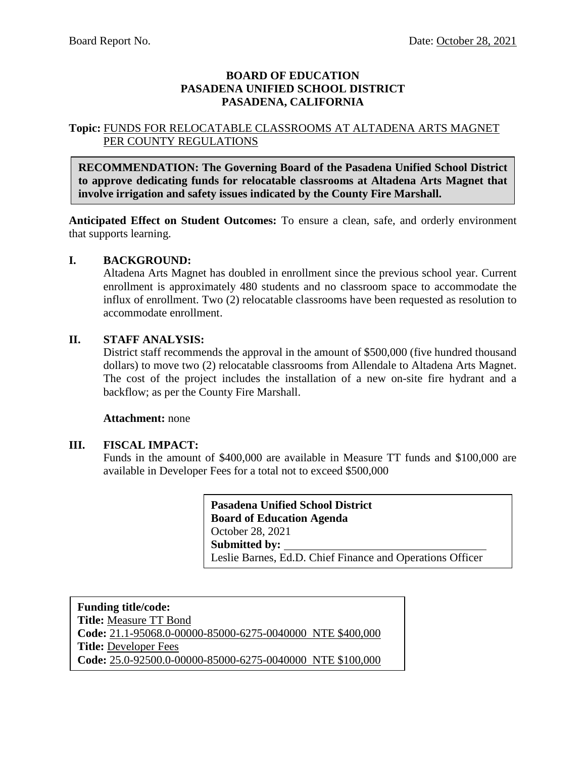### **BOARD OF EDUCATION PASADENA UNIFIED SCHOOL DISTRICT PASADENA, CALIFORNIA**

### **Topic:** FUNDS FOR RELOCATABLE CLASSROOMS AT ALTADENA ARTS MAGNET PER COUNTY REGULATIONS

**RECOMMENDATION: The Governing Board of the Pasadena Unified School District to approve dedicating funds for relocatable classrooms at Altadena Arts Magnet that involve irrigation and safety issues indicated by the County Fire Marshall.**

**Anticipated Effect on Student Outcomes:** To ensure a clean, safe, and orderly environment that supports learning.

### **I. BACKGROUND:**

Altadena Arts Magnet has doubled in enrollment since the previous school year. Current enrollment is approximately 480 students and no classroom space to accommodate the influx of enrollment. Two (2) relocatable classrooms have been requested as resolution to accommodate enrollment.

### **II. STAFF ANALYSIS:**

District staff recommends the approval in the amount of \$500,000 (five hundred thousand dollars) to move two (2) relocatable classrooms from Allendale to Altadena Arts Magnet. The cost of the project includes the installation of a new on-site fire hydrant and a backflow; as per the County Fire Marshall.

### **Attachment:** none

### **III. FISCAL IMPACT:**

Funds in the amount of \$400,000 are available in Measure TT funds and \$100,000 are available in Developer Fees for a total not to exceed \$500,000

> **Pasadena Unified School District Board of Education Agenda** October 28, 2021 **Submitted by:** Leslie Barnes, Ed.D. Chief Finance and Operations Officer

**Funding title/code: Title:** Measure TT Bond **Code:** 21.1-95068.0-00000-85000-6275-0040000 NTE \$400,000 **Title:** Developer Fees **Code:** 25.0-92500.0-00000-85000-6275-0040000 NTE \$100,000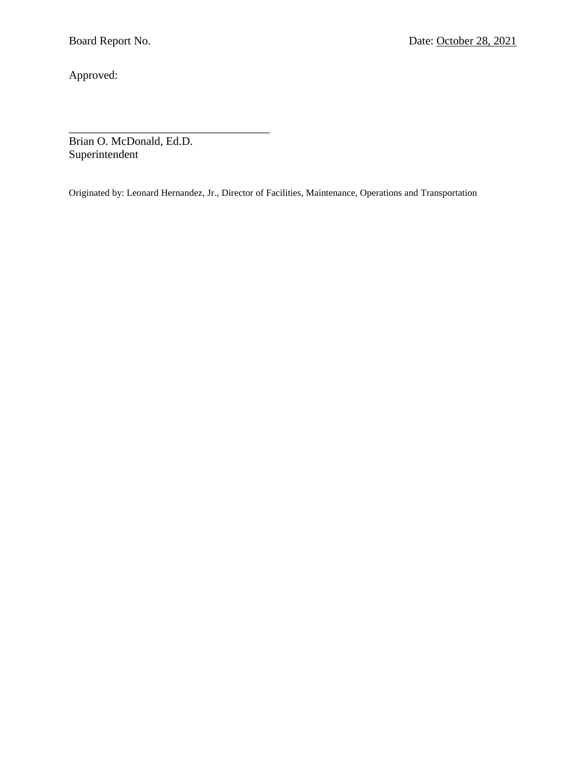Approved:

\_\_\_\_\_\_\_\_\_\_\_\_\_\_\_\_\_\_\_\_\_\_\_\_\_\_\_\_\_\_\_\_\_\_\_ Brian O. McDonald, Ed.D. Superintendent

Originated by: Leonard Hernandez, Jr., Director of Facilities, Maintenance, Operations and Transportation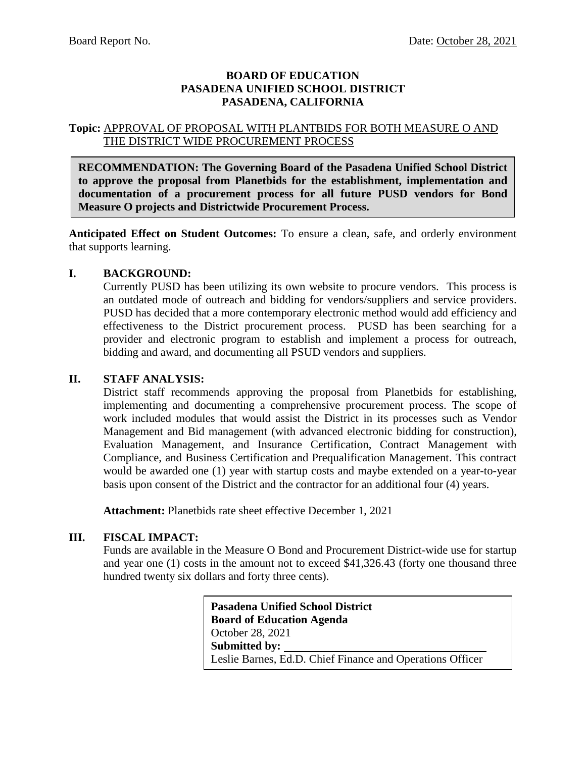### **BOARD OF EDUCATION PASADENA UNIFIED SCHOOL DISTRICT PASADENA, CALIFORNIA**

### **Topic:** APPROVAL OF PROPOSAL WITH PLANTBIDS FOR BOTH MEASURE O AND THE DISTRICT WIDE PROCUREMENT PROCESS

**RECOMMENDATION: The Governing Board of the Pasadena Unified School District to approve the proposal from Planetbids for the establishment, implementation and documentation of a procurement process for all future PUSD vendors for Bond Measure O projects and Districtwide Procurement Process.** 

**Anticipated Effect on Student Outcomes:** To ensure a clean, safe, and orderly environment that supports learning.

### **I. BACKGROUND:**

Currently PUSD has been utilizing its own website to procure vendors. This process is an outdated mode of outreach and bidding for vendors/suppliers and service providers. PUSD has decided that a more contemporary electronic method would add efficiency and effectiveness to the District procurement process. PUSD has been searching for a provider and electronic program to establish and implement a process for outreach, bidding and award, and documenting all PSUD vendors and suppliers.

### **II. STAFF ANALYSIS:**

District staff recommends approving the proposal from Planetbids for establishing, implementing and documenting a comprehensive procurement process. The scope of work included modules that would assist the District in its processes such as Vendor Management and Bid management (with advanced electronic bidding for construction), Evaluation Management, and Insurance Certification, Contract Management with Compliance, and Business Certification and Prequalification Management. This contract would be awarded one (1) year with startup costs and maybe extended on a year-to-year basis upon consent of the District and the contractor for an additional four (4) years.

**Attachment:** Planetbids rate sheet effective December 1, 2021

### **III. FISCAL IMPACT:**

Funds are available in the Measure O Bond and Procurement District-wide use for startup and year one (1) costs in the amount not to exceed \$41,326.43 (forty one thousand three hundred twenty six dollars and forty three cents).

> **Pasadena Unified School District Board of Education Agenda** October 28, 2021 **Submitted by:** Leslie Barnes, Ed.D. Chief Finance and Operations Officer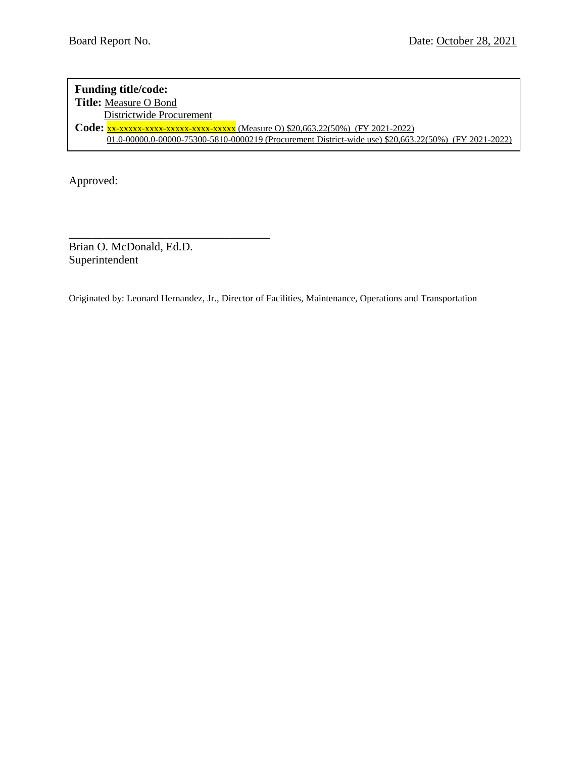### **Funding title/code: Title:** Measure O Bond **Districtwide Procurement Code:** xx-xxxxx-xxxx-xxxxx-xxxx-xxxxx (Measure O) \$20,663.22(50%) (FY 2021-2022) 01.0-00000.0-00000-75300-5810-0000219 (Procurement District-wide use) \$20,663.22(50%) (FY 2021-2022)

Approved:

Brian O. McDonald, Ed.D. Superintendent

\_\_\_\_\_\_\_\_\_\_\_\_\_\_\_\_\_\_\_\_\_\_\_\_\_\_\_\_\_\_\_\_\_\_\_

Originated by: Leonard Hernandez, Jr., Director of Facilities, Maintenance, Operations and Transportation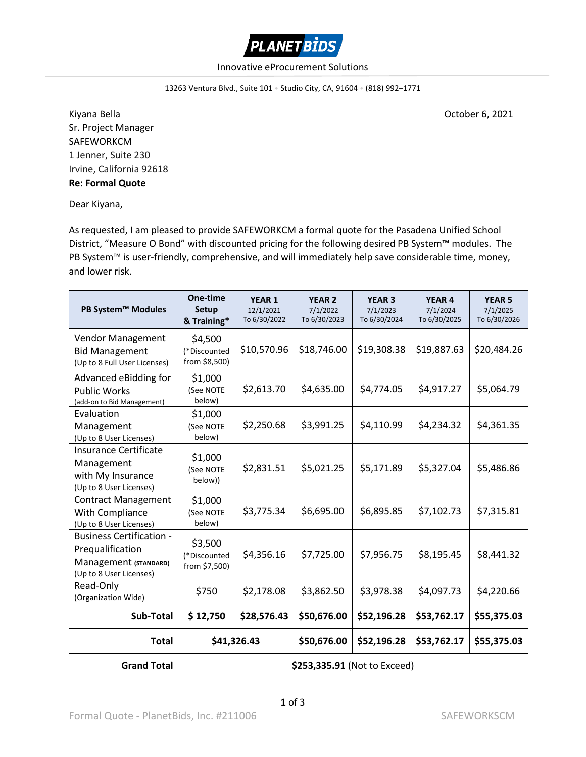

### Innovative eProcurement Solutions

13263 Ventura Blvd., Suite 101 • Studio City, CA, 91604 • (818) 992–1771

Kiyana Bella **October 6, 2021** Sr. Project Manager SAFEWORKCM 1 Jenner, Suite 230 Irvine, California 92618 **Re: Formal Quote**

Dear Kiyana,

As requested, I am pleased to provide SAFEWORKCM a formal quote for the Pasadena Unified School District, "Measure O Bond" with discounted pricing for the following desired PB System™ modules. The PB System™ is user-friendly, comprehensive, and will immediately help save considerable time, money, and lower risk.

| PB System™ Modules                                                                                      | One-time<br>Setup<br>& Training*         | <b>YEAR 1</b><br>12/1/2021<br>To 6/30/2022 | <b>YEAR 2</b><br>7/1/2022<br>To 6/30/2023 | <b>YEAR 3</b><br>7/1/2023<br>To 6/30/2024 | <b>YEAR 4</b><br>7/1/2024<br>To 6/30/2025 | <b>YEAR 5</b><br>7/1/2025<br>To 6/30/2026 |  |  |
|---------------------------------------------------------------------------------------------------------|------------------------------------------|--------------------------------------------|-------------------------------------------|-------------------------------------------|-------------------------------------------|-------------------------------------------|--|--|
| <b>Vendor Management</b><br><b>Bid Management</b><br>(Up to 8 Full User Licenses)                       | \$4,500<br>(*Discounted<br>from \$8,500) | \$10,570.96                                | \$18,746.00                               | \$19,308.38                               | \$19,887.63                               | \$20,484.26                               |  |  |
| Advanced eBidding for<br><b>Public Works</b><br>(add-on to Bid Management)                              | \$1,000<br>(See NOTE<br>below)           | \$2,613.70                                 | \$4,635.00                                | \$4,774.05                                | \$4,917.27                                | \$5,064.79                                |  |  |
| Evaluation<br>Management<br>(Up to 8 User Licenses)                                                     | \$1,000<br>(See NOTE<br>below)           | \$2,250.68                                 | \$3,991.25                                | \$4,110.99                                | \$4,234.32                                | \$4,361.35                                |  |  |
| Insurance Certificate<br>Management<br>with My Insurance<br>(Up to 8 User Licenses)                     | \$1,000<br>(See NOTE<br>below))          | \$2,831.51                                 | \$5,021.25                                | \$5,171.89                                | \$5,327.04                                | \$5,486.86                                |  |  |
| <b>Contract Management</b><br>With Compliance<br>(Up to 8 User Licenses)                                | \$1,000<br>(See NOTE<br>below)           | \$3,775.34                                 | \$6,695.00                                | \$6,895.85                                | \$7,102.73                                | \$7,315.81                                |  |  |
| <b>Business Certification -</b><br>Prequalification<br>Management (STANDARD)<br>(Up to 8 User Licenses) | \$3,500<br>(*Discounted<br>from \$7,500) | \$4,356.16                                 | \$7,725.00                                | \$7,956.75                                | \$8,195.45                                | \$8,441.32                                |  |  |
| Read-Only<br>(Organization Wide)                                                                        | \$750                                    | \$2,178.08                                 | \$3,862.50                                | \$3,978.38                                | \$4,097.73                                | \$4,220.66                                |  |  |
| Sub-Total                                                                                               | \$12,750                                 | \$28,576.43                                | \$50,676.00                               | \$52,196.28                               | \$53,762.17                               | \$55,375.03                               |  |  |
| <b>Total</b>                                                                                            |                                          | \$41,326.43                                | \$50,676.00                               | \$52,196.28                               | \$53,762.17                               | \$55,375.03                               |  |  |
| <b>Grand Total</b>                                                                                      | \$253,335.91 (Not to Exceed)             |                                            |                                           |                                           |                                           |                                           |  |  |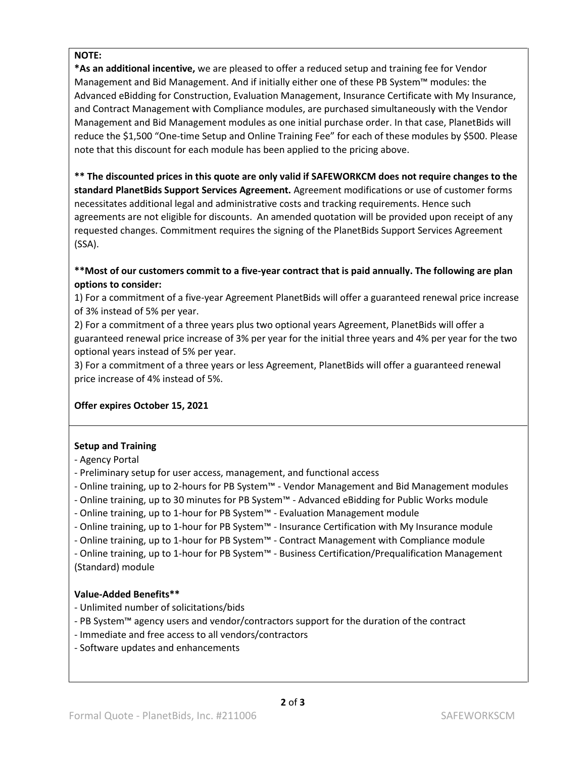### **NOTE:**

**\*As an additional incentive,** we are pleased to offer a reduced setup and training fee for Vendor Management and Bid Management. And if initially either one of these PB System™ modules: the Advanced eBidding for Construction, Evaluation Management, Insurance Certificate with My Insurance, and Contract Management with Compliance modules, are purchased simultaneously with the Vendor Management and Bid Management modules as one initial purchase order. In that case, PlanetBids will reduce the \$1,500 "One-time Setup and Online Training Fee" for each of these modules by \$500. Please note that this discount for each module has been applied to the pricing above.

**\*\* The discounted prices in this quote are only valid if SAFEWORKCM does not require changes to the standard PlanetBids Support Services Agreement.** Agreement modifications or use of customer forms necessitates additional legal and administrative costs and tracking requirements. Hence such agreements are not eligible for discounts. An amended quotation will be provided upon receipt of any requested changes. Commitment requires the signing of the PlanetBids Support Services Agreement (SSA).

### **\*\*Most of our customers commit to a five-year contract that is paid annually. The following are plan options to consider:**

1) For a commitment of a five-year Agreement PlanetBids will offer a guaranteed renewal price increase of 3% instead of 5% per year.

2) For a commitment of a three years plus two optional years Agreement, PlanetBids will offer a guaranteed renewal price increase of 3% per year for the initial three years and 4% per year for the two optional years instead of 5% per year.

3) For a commitment of a three years or less Agreement, PlanetBids will offer a guaranteed renewal price increase of 4% instead of 5%.

### **Offer expires October 15, 2021**

### **Setup and Training**

- Agency Portal
- Preliminary setup for user access, management, and functional access
- Online training, up to 2-hours for PB System™ Vendor Management and Bid Management modules
- Online training, up to 30 minutes for PB System™ Advanced eBidding for Public Works module
- Online training, up to 1-hour for PB System™ Evaluation Management module
- Online training, up to 1-hour for PB System™ Insurance Certification with My Insurance module
- Online training, up to 1-hour for PB System™ Contract Management with Compliance module

- Online training, up to 1-hour for PB System™ - Business Certification/Prequalification Management (Standard) module

### **Value-Added Benefits\*\***

- Unlimited number of solicitations/bids
- PB System™ agency users and vendor/contractors support for the duration of the contract
- Immediate and free access to all vendors/contractors
- Software updates and enhancements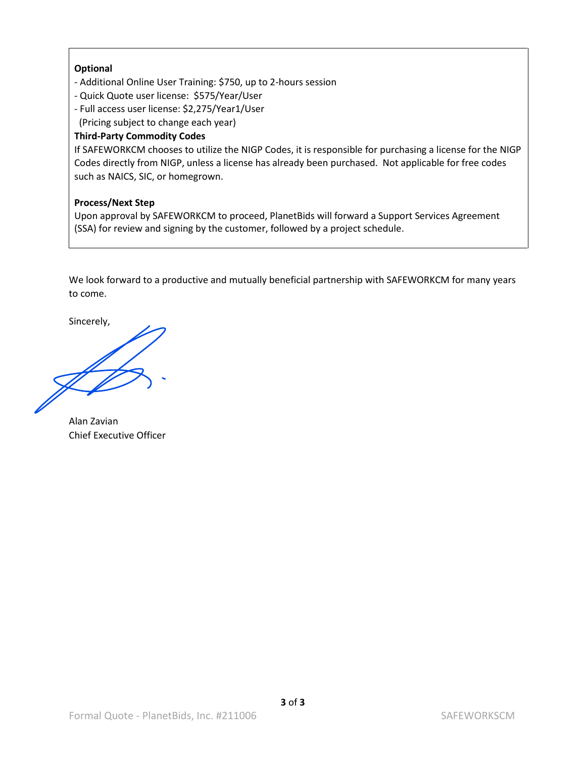### **Optional**

- Additional Online User Training: \$750, up to 2-hours session
- Quick Quote user license: \$575/Year/User
- Full access user license: \$2,275/Year1/User
- (Pricing subject to change each year)

### **Third-Party Commodity Codes**

If SAFEWORKCM chooses to utilize the NIGP Codes, it is responsible for purchasing a license for the NIGP Codes directly from NIGP, unless a license has already been purchased. Not applicable for free codes such as NAICS, SIC, or homegrown.

### **Process/Next Step**

Upon approval by SAFEWORKCM to proceed, PlanetBids will forward a Support Services Agreement (SSA) for review and signing by the customer, followed by a project schedule.

We look forward to a productive and mutually beneficial partnership with SAFEWORKCM for many years to come.

Sincerely,

Alan Zavian Chief Executive Officer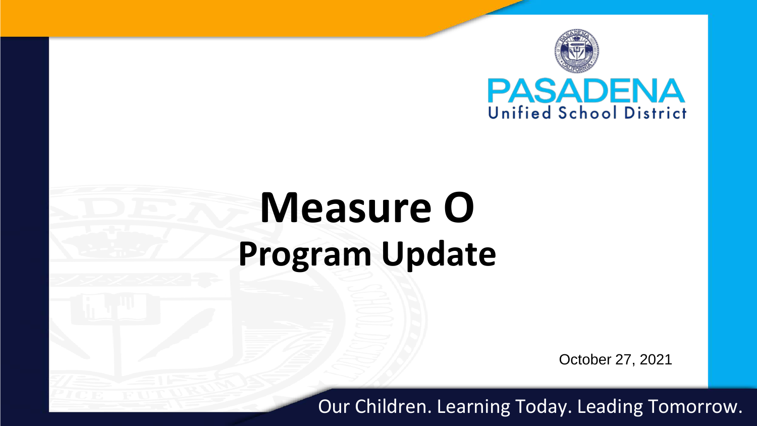

# **Measure O Program Update**

October 27, 2021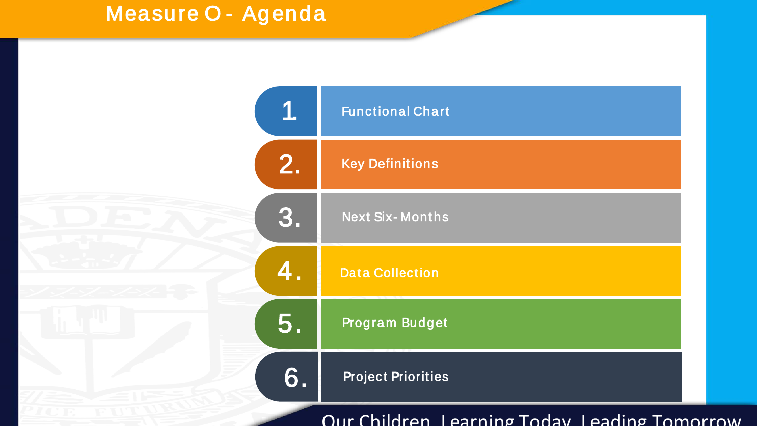## Measure O - Agenda

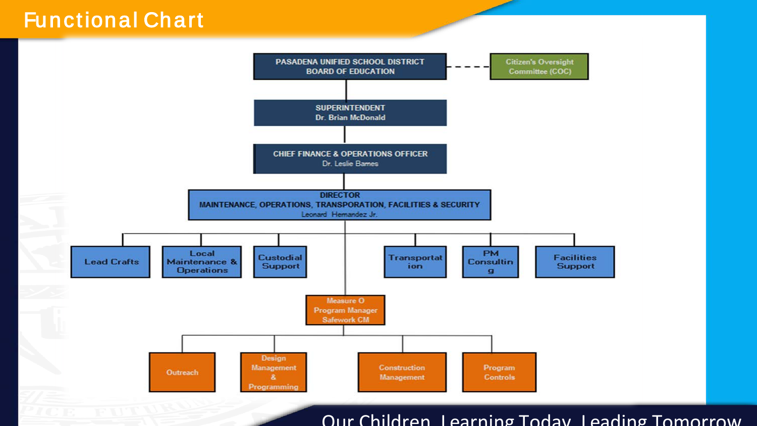### Functional Chart

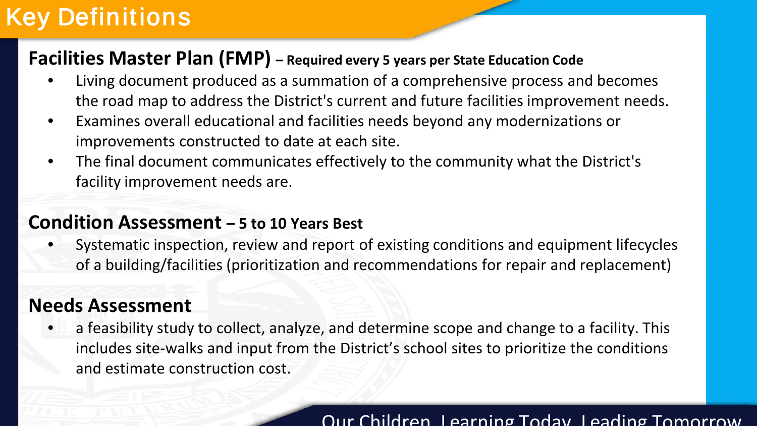# Key Definitions

### **Facilities Master Plan (FMP) – Required every 5 years per State Education Code**

- Living document produced as a summation of a comprehensive process and becomes the road map to address the District's current and future facilities improvement needs.
- Examines overall educational and facilities needs beyond any modernizations or improvements constructed to date at each site.
- The final document communicates effectively to the community what the District's facility improvement needs are.

### **Condition Assessment – 5 to 10 Years Best**

• Systematic inspection, review and report of existing conditions and equipment lifecycles of a building/facilities (prioritization and recommendations for repair and replacement)

### **Needs Assessment**

• a feasibility study to collect, analyze, and determine scope and change to a facility. This includes site-walks and input from the District's school sites to prioritize the conditions and estimate construction cost.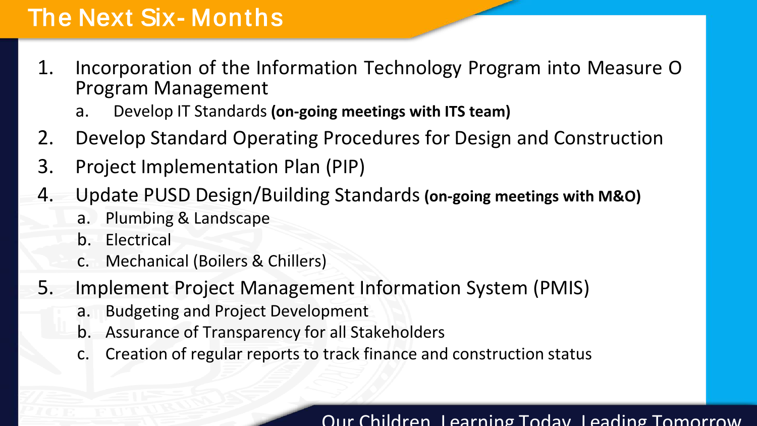# The Next Six- Months

- 1. Incorporation of the Information Technology Program into Measure O Program Management
	- a. Develop IT Standards **(on-going meetings with ITS team)**
- 2. Develop Standard Operating Procedures for Design and Construction
- 3. Project Implementation Plan (PIP)
- 4. Update PUSD Design/Building Standards**(on-going meetings with M&O)**
	- a. Plumbing & Landscape
	- b. Electrical
	- c. Mechanical (Boilers & Chillers)
- 5. Implement Project Management Information System (PMIS)
	- a. Budgeting and Project Development
	- b. Assurance of Transparency for all Stakeholders
	- c. Creation of regular reports to track finance and construction status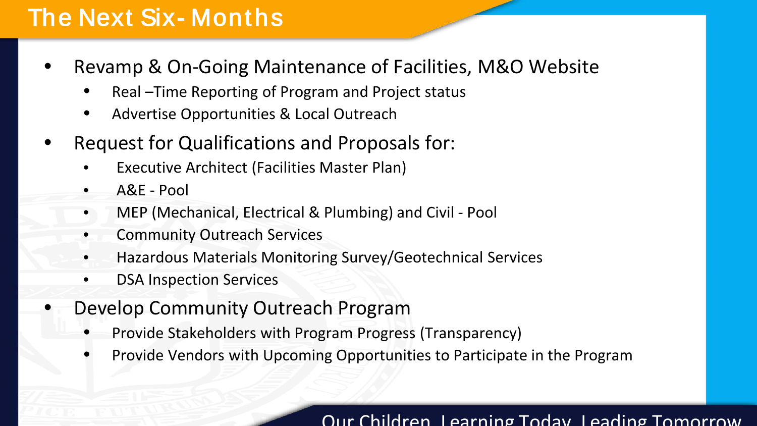# The Next Six- Months

- Revamp & On-Going Maintenance of Facilities, M&O Website
	- Real –Time Reporting of Program and Project status
	- Advertise Opportunities & Local Outreach
- Request for Qualifications and Proposals for:
	- Executive Architect (Facilities Master Plan)
	- A&E Pool
	- MEP (Mechanical, Electrical & Plumbing) and Civil Pool
	- Community Outreach Services
	- Hazardous Materials Monitoring Survey/Geotechnical Services
	- **DSA Inspection Services**
- Develop Community Outreach Program
	- Provide Stakeholders with Program Progress (Transparency)
	- Provide Vendors with Upcoming Opportunities to Participate in the Program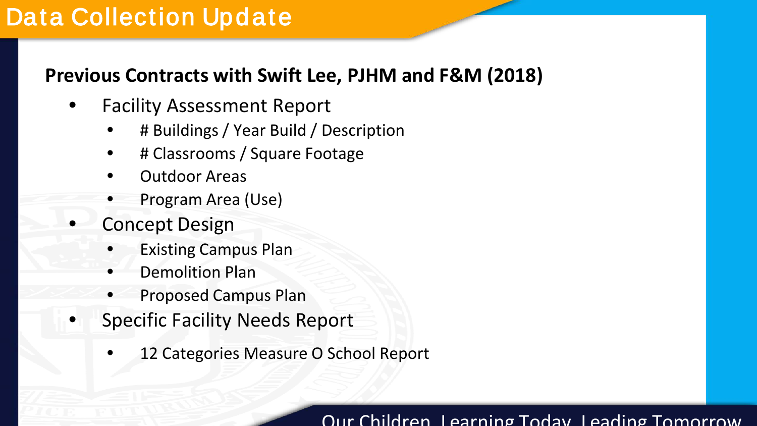## Data Collection Update

### **Previous Contracts with Swift Lee, PJHM and F&M (2018)**

- Facility Assessment Report
	- # Buildings / Year Build / Description
	- # Classrooms / Square Footage
	- Outdoor Areas
	- Program Area (Use)
- Concept Design
	- Existing Campus Plan
	- Demolition Plan
	- Proposed Campus Plan
- Specific Facility Needs Report
	- 12 Categories Measure O School Report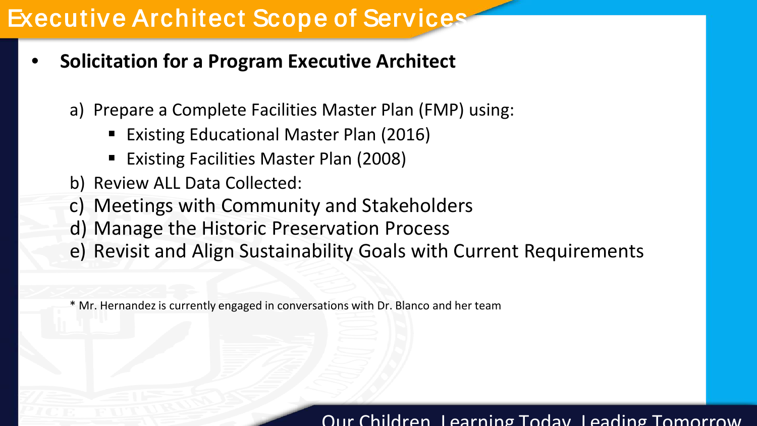# Executive Architect Scope of Services

- **Solicitation for a Program Executive Architect**
	- a) Prepare a Complete Facilities Master Plan (FMP) using:
		- Existing Educational Master Plan (2016)
		- Existing Facilities Master Plan (2008)
	- b) Review ALL Data Collected:
	- c) Meetings with Community and Stakeholders
	- d) Manage the Historic Preservation Process
	- e) Revisit and Align Sustainability Goals with Current Requirements

\* Mr. Hernandezis currently engaged in conversations with Dr. Blanco and her team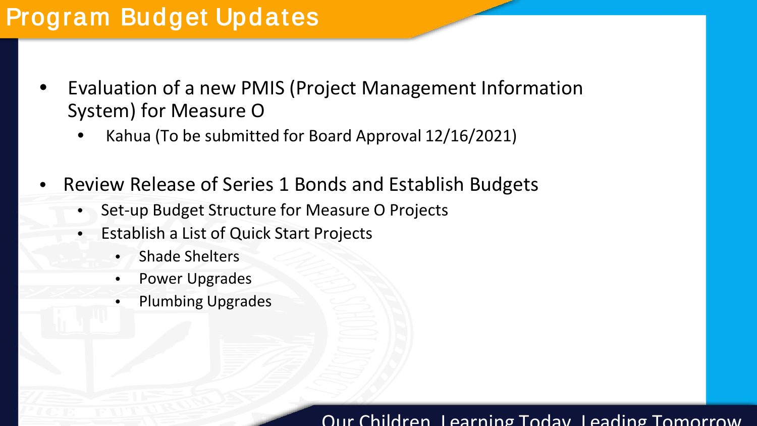# Program Budget Updates

- Evaluation of a new PMIS (Project Management Information System) for Measure O
	- Kahua (To be submitted for Board Approval 12/16/2021)
- Review Release of Series 1 Bonds and Establish Budgets
	- Set-up Budget Structure for Measure O Projects
	- Establish a List of Quick Start Projects
		- Shade Shelters
		- Power Upgrades
		- Plumbing Upgrades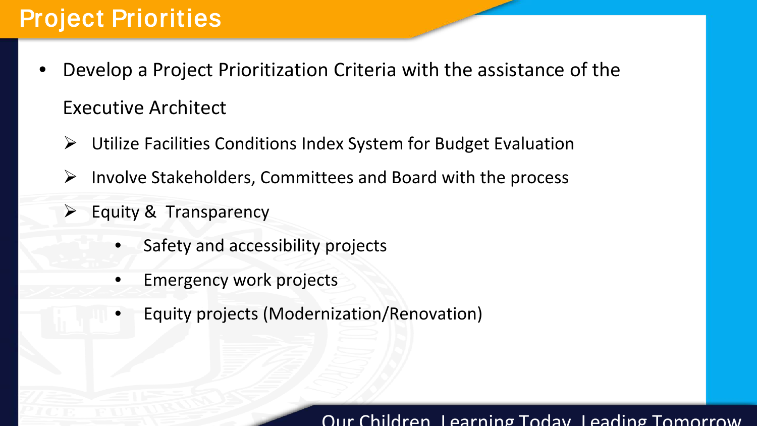# Project Priorities

- Develop a Project Prioritization Criteria with the assistance of the Executive Architect
	- Utilize Facilities Conditions Index System for Budget Evaluation
	- $\triangleright$  Involve Stakeholders, Committees and Board with the process
	- Equity & Transparency
		- Safety and accessibility projects
		- Emergency work projects
		- Equity projects (Modernization/Renovation)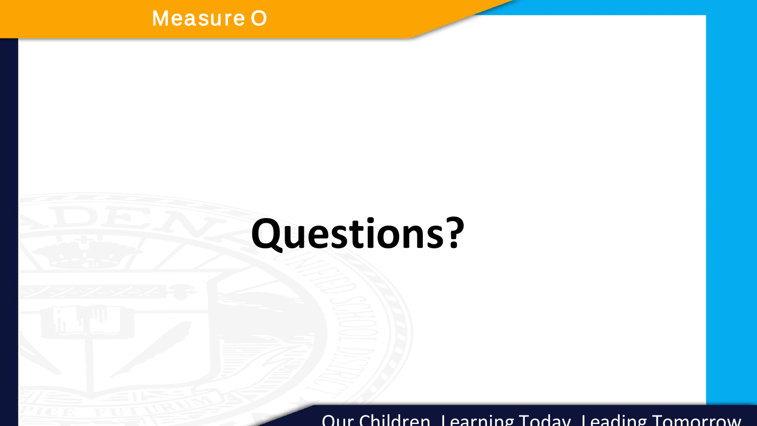### Measure O

# **Questions?**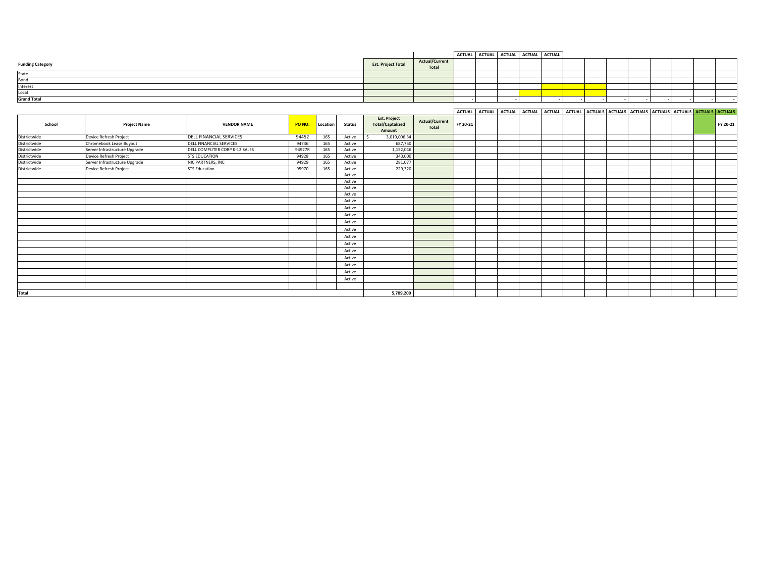|                         |                    |                         | ACTUAL ACTUAL ACTUAL ACTUAL ACTUAL |  |  |  |  |  |  |
|-------------------------|--------------------|-------------------------|------------------------------------|--|--|--|--|--|--|
| <b>Funding Category</b> | Est. Project Total | Actual/Current<br>Total |                                    |  |  |  |  |  |  |
| State                   |                    |                         |                                    |  |  |  |  |  |  |
| Bond                    |                    |                         |                                    |  |  |  |  |  |  |
| Interest                |                    |                         |                                    |  |  |  |  |  |  |
| Local                   |                    |                         |                                    |  |  |  |  |  |  |
| <b>Grand Total</b>      |                    |                         |                                    |  |  |  |  |  |  |

| <b>ACTUAL</b> | ACTUAL ACTUAL |  |  | . I ACTUAL I ACTUAL I ACTUAL I ACTUALS I ACTUALS I ACTUALS I ACTUALS I ACTUALS I ACTUALS I ACTUALS I |  |  |  |
|---------------|---------------|--|--|------------------------------------------------------------------------------------------------------|--|--|--|
|               |               |  |  |                                                                                                      |  |  |  |

| School       | <b>Project Name</b>           | <b>VENDOR NAME</b>            | PO NO. | Location | <b>Status</b> | <b>Est. Project</b><br><b>Total/Captalized</b><br>Amount | <b>Actual/Current</b><br>Total | FY 20-21 |  |  |  |  |  | FY 20-21 |
|--------------|-------------------------------|-------------------------------|--------|----------|---------------|----------------------------------------------------------|--------------------------------|----------|--|--|--|--|--|----------|
| Districtwide | Device Refresh Project        | DELL FINANCIAL SERVICES       | 94452  | 165      | Active        | 3,019,006.34                                             |                                |          |  |  |  |  |  |          |
| Districtwide | Chromebook Lease Buyout       | DELL FINANCIAL SERVICES       | 94746  | 165      | Active        | 687,750                                                  |                                |          |  |  |  |  |  |          |
| Districtwide | Server Infrastructure Upgrade | DELL COMPUTER CORP K-12 SALES | 94927R | 165      | Active        | 1,152,046                                                |                                |          |  |  |  |  |  |          |
| Districtwide | Device Refresh Project        | <b>STS EDUCATION</b>          | 94928  | 165      | Active        | 340,000                                                  |                                |          |  |  |  |  |  |          |
| Districtwide | Server Infrastructure Upgrade | NIC PARTNERS, INC             | 94929  | 165      | Active        | 281,077                                                  |                                |          |  |  |  |  |  |          |
| Districtwide | Device Refresh Project        | <b>STS Education</b>          | 95970  | 165      | Active        | 229,320                                                  |                                |          |  |  |  |  |  |          |
|              |                               |                               |        |          | Active        |                                                          |                                |          |  |  |  |  |  |          |
|              |                               |                               |        |          | Active        |                                                          |                                |          |  |  |  |  |  |          |
|              |                               |                               |        |          | Active        |                                                          |                                |          |  |  |  |  |  |          |
|              |                               |                               |        |          | Active        |                                                          |                                |          |  |  |  |  |  |          |
|              |                               |                               |        |          | Active        |                                                          |                                |          |  |  |  |  |  |          |
|              |                               |                               |        |          | Active        |                                                          |                                |          |  |  |  |  |  |          |
|              |                               |                               |        |          | Active        |                                                          |                                |          |  |  |  |  |  |          |
|              |                               |                               |        |          | Active        |                                                          |                                |          |  |  |  |  |  |          |
|              |                               |                               |        |          | Active        |                                                          |                                |          |  |  |  |  |  |          |
|              |                               |                               |        |          | Active        |                                                          |                                |          |  |  |  |  |  |          |
|              |                               |                               |        |          | Active        |                                                          |                                |          |  |  |  |  |  |          |
|              |                               |                               |        |          | Active        |                                                          |                                |          |  |  |  |  |  |          |
|              |                               |                               |        |          |               |                                                          |                                |          |  |  |  |  |  |          |
|              |                               |                               |        |          | Active        |                                                          |                                |          |  |  |  |  |  |          |
|              |                               |                               |        |          | Active        |                                                          |                                |          |  |  |  |  |  |          |
|              |                               |                               |        |          | Active        |                                                          |                                |          |  |  |  |  |  |          |
|              |                               |                               |        |          | Active        |                                                          |                                |          |  |  |  |  |  |          |
|              |                               |                               |        |          |               |                                                          |                                |          |  |  |  |  |  |          |
| <b>Total</b> |                               |                               |        |          |               | 5,709,200                                                |                                |          |  |  |  |  |  |          |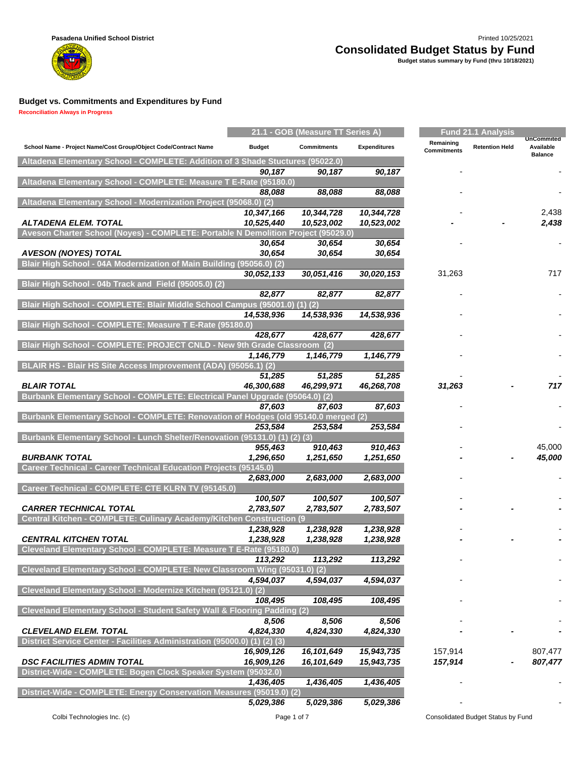**Reconciliation Always in Progress**

m

|                                                                                    |                              | 21.1 - GOB (Measure TT Series A) |                          |                          | <b>Fund 21.1 Analysis</b> |                                                  |
|------------------------------------------------------------------------------------|------------------------------|----------------------------------|--------------------------|--------------------------|---------------------------|--------------------------------------------------|
| School Name - Project Name/Cost Group/Object Code/Contract Name                    | <b>Budget</b>                | <b>Commitments</b>               | <b>Expenditures</b>      | Remaining<br>Commitments | <b>Retention Held</b>     | <b>UnCommited</b><br>Available<br><b>Balance</b> |
| Altadena Elementary School - COMPLETE: Addition of 3 Shade Stuctures (95022.0)     |                              |                                  |                          |                          |                           |                                                  |
|                                                                                    | 90,187                       | 90,187                           | 90,187                   |                          |                           |                                                  |
| Altadena Elementary School - COMPLETE: Measure T E-Rate (95180.0)                  |                              |                                  |                          |                          |                           |                                                  |
| Altadena Elementary School - Modernization Project (95068.0) (2)                   | 88,088                       | 88,088                           | 88,088                   |                          |                           |                                                  |
|                                                                                    | 10,347,166                   | 10,344,728                       | 10,344,728               |                          |                           | 2,438                                            |
| ALTADENA ELEM. TOTAL                                                               | 10,525,440                   | 10,523,002                       | 10,523,002               |                          |                           | 2,438                                            |
| Aveson Charter School (Noyes) - COMPLETE: Portable N Demolition Project (95029.0)  |                              |                                  |                          |                          |                           |                                                  |
|                                                                                    | 30,654                       | 30,654                           | 30,654                   |                          |                           |                                                  |
| <b>AVESON (NOYES) TOTAL</b>                                                        | 30,654                       | 30,654                           | 30,654                   |                          |                           |                                                  |
| Blair High School - 04A Modernization of Main Building (95056.0) (2)               |                              |                                  |                          |                          |                           |                                                  |
| Blair High School - 04b Track and Field (95005.0) (2)                              | 30,052,133                   | 30,051,416                       | 30,020,153               | 31,263                   |                           | 717                                              |
|                                                                                    | 82,877                       | 82,877                           | 82,877                   |                          |                           |                                                  |
| Blair High School - COMPLETE: Blair Middle School Campus (95001.0) (1) (2)         |                              |                                  |                          |                          |                           |                                                  |
|                                                                                    | 14,538,936                   | 14,538,936                       | 14,538,936               |                          |                           |                                                  |
| Blair High School - COMPLETE: Measure T E-Rate (95180.0)                           |                              |                                  |                          |                          |                           |                                                  |
|                                                                                    | 428,677                      | 428,677                          | 428,677                  |                          |                           |                                                  |
| Blair High School - COMPLETE: PROJECT CNLD - New 9th Grade Classroom (2)           |                              |                                  |                          |                          |                           |                                                  |
| <b>BLAIR HS - Blair HS Site Access Improvement (ADA)</b>                           | 1,146,779<br>$(95056.1)$ (2) | 1,146,779                        | 1,146,779                |                          |                           |                                                  |
|                                                                                    | 51,285                       | 51,285                           | 51,285                   |                          |                           |                                                  |
| <b>BLAIR TOTAL</b>                                                                 | 46,300,688                   | 46,299,971                       | 46,268,708               | 31,263                   |                           | 717                                              |
| Burbank Elementary School - COMPLETE: Electrical Panel Upgrade (95064.0) (2)       |                              |                                  |                          |                          |                           |                                                  |
|                                                                                    | 87,603                       | 87,603                           | 87,603                   |                          |                           |                                                  |
| Burbank Elementary School - COMPLETE: Renovation of Hodges (old 95140.0 merged (2) |                              |                                  |                          |                          |                           |                                                  |
| Burbank Elementary School - Lunch Shelter/Renovation (95131.0) (1) (2) (3)         | 253,584                      | 253,584                          | 253,584                  |                          |                           |                                                  |
|                                                                                    | 955,463                      | 910,463                          | 910,463                  |                          |                           | 45,000                                           |
| <b>BURBANK TOTAL</b>                                                               | 1,296,650                    | 1,251,650                        | 1,251,650                |                          |                           | 45,000                                           |
| Career Technical - Career Technical Education Projects (95145.0)                   |                              |                                  |                          |                          |                           |                                                  |
|                                                                                    | 2,683,000                    | 2,683,000                        | 2,683,000                |                          |                           |                                                  |
| Career Technical - COMPLETE: CTE KLRN TV (95145.0)                                 |                              |                                  |                          |                          |                           |                                                  |
| <b>CARRER TECHNICAL TOTAL</b>                                                      | 100,507<br>2,783,507         | 100,507<br>2,783,507             | 100,507<br>2,783,507     |                          |                           |                                                  |
| Central Kitchen - COMPLETE: Culinary Academy/Kitchen Construction (9               |                              |                                  |                          |                          |                           |                                                  |
|                                                                                    | 1,238,928                    | 1,238,928                        | 1,238,928                |                          |                           |                                                  |
| <b>CENTRAL KITCHEN TOTAL</b>                                                       | 1,238,928                    | 1,238,928                        | 1,238,928                |                          |                           |                                                  |
| Cleveland Elementary School - COMPLETE: Measure T E-Rate (95180.0)                 |                              |                                  |                          |                          |                           |                                                  |
|                                                                                    | 113,292                      | 113,292                          | 113,292                  |                          |                           |                                                  |
| Cleveland Elementary School - COMPLETE: New Classroom Wing (95031.0) (2)           | 4,594,037                    | 4,594,037                        | 4,594,037                |                          |                           |                                                  |
| Cleveland Elementary School - Modernize Kitchen (95121.0) (2)                      |                              |                                  |                          |                          |                           |                                                  |
|                                                                                    | 108,495                      | 108,495                          | 108,495                  |                          |                           |                                                  |
| Cleveland Elementary School - Student Safety Wall & Flooring Padding (2)           |                              |                                  |                          |                          |                           |                                                  |
|                                                                                    | 8,506                        | 8,506                            | 8,506                    |                          |                           |                                                  |
| <b>CLEVELAND ELEM. TOTAL</b>                                                       | 4,824,330                    | 4,824,330                        | 4,824,330                |                          |                           |                                                  |
| District Service Center - Facilities Administration (95000.0) (1) (2) (3)          |                              |                                  |                          | 157,914                  |                           | 807,477                                          |
| <b>DSC FACILITIES ADMIN TOTAL</b>                                                  | 16,909,126<br>16,909,126     | 16,101,649<br>16,101,649         | 15,943,735<br>15,943,735 | 157,914                  |                           | 807,477                                          |
| District-Wide - COMPLETE: Bogen Clock Speaker System (95032.0)                     |                              |                                  |                          |                          |                           |                                                  |
|                                                                                    | 1,436,405                    | 1,436,405                        | 1,436,405                |                          |                           |                                                  |
| District-Wide - COMPLETE: Energy Conservation Measures (95019.0) (2)               |                              |                                  |                          |                          |                           |                                                  |
|                                                                                    | 5,029,386                    | 5,029,386                        | 5,029,386                |                          |                           |                                                  |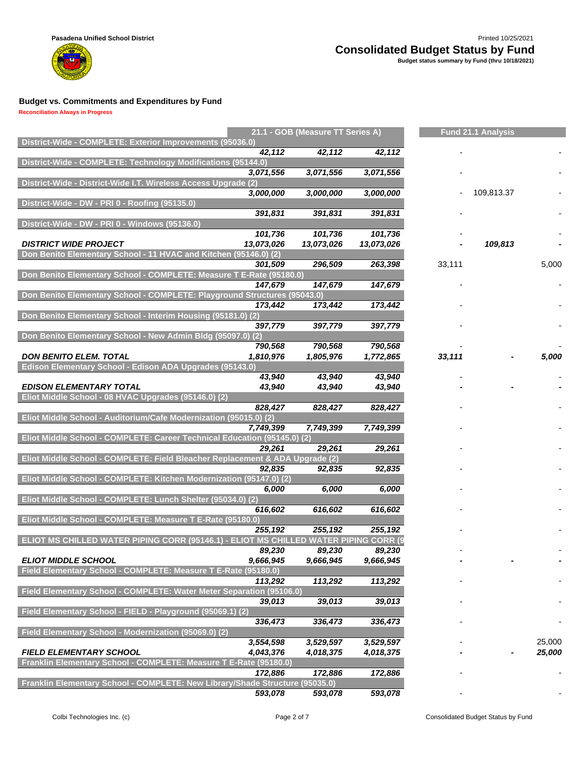

**Reconciliation Always in Progress**

|                                                                              |            | 21.1 - GOB (Measure TT Series A)       |                      |        | <b>Fund 21.1 Analysis</b> |        |
|------------------------------------------------------------------------------|------------|----------------------------------------|----------------------|--------|---------------------------|--------|
| District-Wide - COMPLETE: Exterior Improvements (95036.0)                    |            |                                        |                      |        |                           |        |
|                                                                              | 42,112     | 42,112                                 | 42,112               |        |                           |        |
| District-Wide - COMPLETE: Technology Modifications (95144.0)                 |            |                                        |                      |        |                           |        |
|                                                                              | 3,071,556  | 3,071,556                              | 3,071,556            |        |                           |        |
| District-Wide - District-Wide I.T. Wireless Access Upgrade (2)               |            |                                        |                      |        |                           |        |
|                                                                              | 3,000,000  | 3,000,000                              | 3,000,000            |        | 109,813.37                |        |
| District-Wide - DW - PRI 0 - Roofing (95135.0)                               |            |                                        |                      |        |                           |        |
|                                                                              | 391,831    | 391,831                                | 391,831              |        |                           |        |
| District-Wide - DW - PRI 0 - Windows (95136.0)                               |            |                                        |                      |        |                           |        |
|                                                                              | 101,736    | 101,736                                | 101,736              |        |                           |        |
| <b>DISTRICT WIDE PROJECT</b>                                                 | 13,073,026 | 13,073,026                             | 13,073,026           |        | 109,813                   |        |
| Don Benito Elementary School - 11 HVAC and Kitchen (95146.0) (2)             |            |                                        |                      |        |                           |        |
|                                                                              | 301.509    | 296,509                                | 263,398              | 33,111 |                           | 5,000  |
| Don Benito Elementary School - COMPLETE: Measure T E-Rate (95180.0)          |            |                                        |                      |        |                           |        |
|                                                                              | 147,679    | 147,679                                | 147,679              |        |                           |        |
| Don Benito Elementary School - COMPLETE: Playground Structures (95043.0)     |            |                                        |                      |        |                           |        |
|                                                                              | 173,442    | 173,442                                | 173,442              |        |                           |        |
| Don Benito Elementary School - Interim Housing (95181.0) (2)                 |            |                                        |                      |        |                           |        |
|                                                                              | 397,779    | 397,779                                | 397,779              |        |                           |        |
| Don Benito Elementary School - New Admin Bldg (95097.0) (2)                  |            |                                        |                      |        |                           |        |
| <b>DON BENITO ELEM. TOTAL</b>                                                | 790,568    | 790,568                                | 790,568<br>1,772,865 |        |                           |        |
| Edison Elementary School - Edison ADA Upgrades (95143.0)                     | 1,810,976  | 1,805,976                              |                      | 33,111 |                           | 5,000  |
|                                                                              | 43,940     | 43.940                                 | 43,940               |        |                           |        |
| <b>EDISON ELEMENTARY TOTAL</b>                                               | 43,940     | 43,940                                 | 43,940               |        |                           |        |
| Eliot Middle School - 08 HVAC Upgrades (95146.0) (2)                         |            |                                        |                      |        |                           |        |
|                                                                              | 828,427    | 828,427                                | 828,427              |        |                           |        |
| Eliot Middle School - Auditorium/Cafe Modernization (95015.0) (2)            |            |                                        |                      |        |                           |        |
|                                                                              | 7,749,399  | 7,749,399                              | 7,749,399            |        |                           |        |
| Eliot Middle School - COMPLETE: Career Technical Education (95145.0) (2)     |            |                                        |                      |        |                           |        |
|                                                                              | 29,261     | 29,261                                 | 29,261               |        |                           |        |
| Eliot Middle School - COMPLETE: Field Bleacher Replacement & ADA Upgrade (2) |            |                                        |                      |        |                           |        |
|                                                                              | 92,835     | 92,835                                 | 92,835               |        |                           |        |
| Eliot Middle School - COMPLETE: Kitchen Modernization (95147.0) (2)          |            |                                        |                      |        |                           |        |
|                                                                              | 6,000      | 6,000                                  | 6,000                |        |                           |        |
| Eliot Middle School - COMPLETE: Lunch Shelter (95034.0) (2)                  |            |                                        |                      |        |                           |        |
|                                                                              | 616,602    | 616,602                                | 616,602              |        |                           |        |
| Eliot Middle School - COMPLETE: Measure T E-Rate (95180.0)                   |            |                                        |                      |        |                           |        |
|                                                                              | 255,192    | 255,192                                | 255,192              |        |                           |        |
| <b>ELIOT MS CHILLED WATER PIPING CORR (95146.1)</b>                          |            | <b>MS CHILLED WATER PIPING CORR (9</b> |                      |        |                           |        |
|                                                                              | 89,230     | 89,230                                 | 89,230               |        |                           |        |
| <b>ELIOT MIDDLE SCHOOL</b>                                                   | 9,666,945  | 9,666,945                              | 9,666,945            |        |                           |        |
| Field Elementary School - COMPLETE: Measure T E-Rate (95180.0)               |            |                                        |                      |        |                           |        |
|                                                                              | 113,292    | 113,292                                | 113,292              |        |                           |        |
| Field Elementary School - COMPLETE: Water Meter Separation (95106.0)         |            |                                        |                      |        |                           |        |
|                                                                              | 39,013     | 39,013                                 | 39,013               |        |                           |        |
| Field Elementary School - FIELD - Playground (95069.1) (2)                   |            |                                        |                      |        |                           |        |
|                                                                              | 336,473    | 336,473                                | 336,473              |        |                           |        |
| Field Elementary School - Modernization (95069.0) (2)                        |            |                                        |                      |        |                           |        |
|                                                                              | 3,554,598  | 3,529,597                              | 3,529,597            |        |                           | 25,000 |
| <b>FIELD ELEMENTARY SCHOOL</b>                                               | 4,043,376  | 4,018,375                              | 4,018,375            |        |                           | 25,000 |
| Franklin Elementary School - COMPLETE: Measure T E-Rate (95180.0)            |            |                                        |                      |        |                           |        |
|                                                                              | 172,886    | 172,886                                | 172,886              |        |                           |        |
| Franklin Elementary School - COMPLETE: New Library/Shade Structure (95035.0) |            |                                        |                      |        |                           |        |
|                                                                              | 593,078    | 593,078                                | 593,078              |        |                           |        |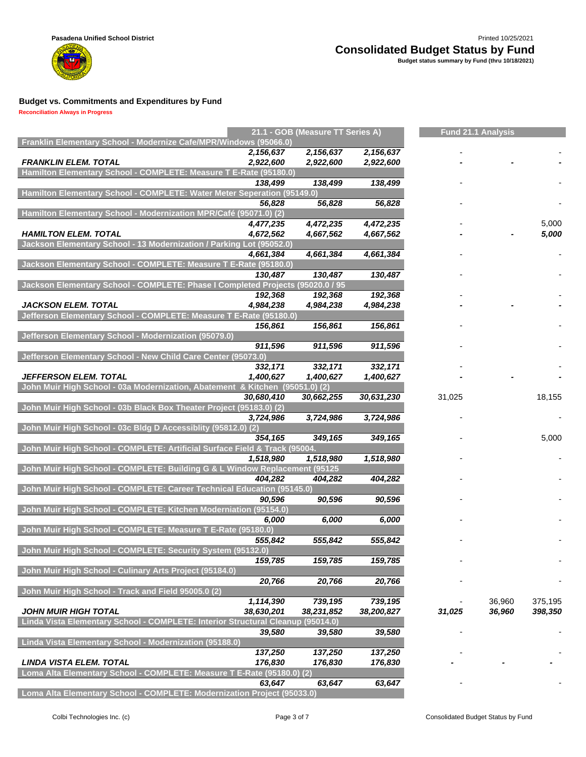

#### **Reconciliation Always in Progress**

| Franklin Elementary School - Modernize Cafe/MPR/Windows (95066.0)<br>2,156,637<br>2,156,637<br>2,156,637<br><b>FRANKLIN ELEM. TOTAL</b><br>2,922,600<br>2,922,600<br>2,922,600<br>Hamilton Elementary School - COMPLETE: Measure T E-Rate (95180.0)<br>138,499<br>138,499<br>138,499<br>Hamilton Elementary School - COMPLETE: Water Meter Seperation (95149.0)<br>56,828<br>56,828<br>56,828<br>Hamilton Elementary School - Modernization MPR/Café (95071.0) (2)<br>4,477,235<br>4,472,235<br>4,472,235<br>5,000<br><b>HAMILTON ELEM. TOTAL</b><br>4,672,562<br>4,667,562<br>5,000<br>4,667,562<br>Jackson Elementary School - 13 Modernization / Parking Lot (95052.0)<br>4,661,384<br>4,661,384<br>4,661,384<br>Jackson Elementary School - COMPLETE: Measure T E-Rate (95180.0)<br>130,487<br>130,487<br>130,487<br>Jackson Elementary School - COMPLETE: Phase I Completed Projects (95020.0 / 95<br>192,368<br>192,368<br>192,368<br><b>JACKSON ELEM. TOTAL</b><br>4,984,238<br>4,984,238<br>4,984,238<br>Jefferson Elementary School - COMPLETE: Measure T E-Rate (95180.0)<br>156,861<br>156,861<br>156,861<br>Jefferson Elementary School - Modernization (95079.0)<br>911,596<br>911,596<br>911,596<br>Jefferson Elementary School - New Child Care Center (95073.0)<br>332,171<br>332,171<br>332,171<br><b>JEFFERSON ELEM. TOTAL</b><br>1,400,627<br>1,400,627<br>1,400,627<br>John Muir High School - 03a Modernization, Abatement & Kitchen (95051.0) (2)<br>30,680,410<br>30,631,230<br>31,025<br>30,662,255<br>18,155<br>John Muir High School - 03b Black Box Theater Project (95183.0) (2)<br>3,724,986<br>3,724,986<br>3,724,986<br>John Muir High School - 03c Bldg D Accessiblity (95812.0) (2)<br>354,165<br>349,165<br>5,000<br>349,165<br>John Muir High School - COMPLETE: Artificial Surface Field & Track (95004.<br>1,518,980<br>1,518,980<br>1,518,980<br>John Muir High School - COMPLETE: Building G & L Window Replacement (95125<br>404,282<br>404,282<br>404,282<br>John Muir High School - COMPLETE: Career Technical Education (95145.0)<br>90,596<br>90,596<br>90,596<br>John Muir High School - COMPLETE: Kitchen Moderniation (95154.0)<br>6,000<br>6,000<br>6,000<br>John Muir High School - COMPLETE: Measure T E-Rate (95180.0)<br>555,842<br>555,842<br>555,842<br>John Muir High School - COMPLETE: Security System (95132.0)<br>159,785<br>159,785<br>159,785<br>John Muir High School - Culinary Arts Project (95184.0)<br>20,766<br>20,766<br>20,766<br>John Muir High School - Track and Field 95005.0 (2)<br>739,195<br>36,960<br>375,195<br>1,114,390<br>739,195<br><b>JOHN MUIR HIGH TOTAL</b><br>38,630,201<br>36,960<br>398,350<br>38,231,852<br>38,200,827<br>31,025<br>Linda Vista Elementary School - COMPLETE: Interior Structural Cleanup (95014.0)<br>39,580<br>39,580<br>39,580<br>Linda Vista Elementary School - Modernization (95188.0)<br>137,250<br>137,250<br>137,250<br><b>LINDA VISTA ELEM. TOTAL</b><br>176,830<br>176,830<br>176,830<br>Loma Alta Elementary School - COMPLETE: Measure T E-Rate (95180.0) (2)<br>63,647<br>63,647<br>63,647<br>Loma Alta Elementary School - COMPLETE: Modernization Project (95033.0) |  | 21.1 - GOB (Measure TT Series A) |  | <b>Fund 21.1 Analysis</b> |  |
|-----------------------------------------------------------------------------------------------------------------------------------------------------------------------------------------------------------------------------------------------------------------------------------------------------------------------------------------------------------------------------------------------------------------------------------------------------------------------------------------------------------------------------------------------------------------------------------------------------------------------------------------------------------------------------------------------------------------------------------------------------------------------------------------------------------------------------------------------------------------------------------------------------------------------------------------------------------------------------------------------------------------------------------------------------------------------------------------------------------------------------------------------------------------------------------------------------------------------------------------------------------------------------------------------------------------------------------------------------------------------------------------------------------------------------------------------------------------------------------------------------------------------------------------------------------------------------------------------------------------------------------------------------------------------------------------------------------------------------------------------------------------------------------------------------------------------------------------------------------------------------------------------------------------------------------------------------------------------------------------------------------------------------------------------------------------------------------------------------------------------------------------------------------------------------------------------------------------------------------------------------------------------------------------------------------------------------------------------------------------------------------------------------------------------------------------------------------------------------------------------------------------------------------------------------------------------------------------------------------------------------------------------------------------------------------------------------------------------------------------------------------------------------------------------------------------------------------------------------------------------------------------------------------------------------------------------------------------------------------------------------------------------------------------------------------------------------------------------------------------------------------------------------------------------------------------------|--|----------------------------------|--|---------------------------|--|
|                                                                                                                                                                                                                                                                                                                                                                                                                                                                                                                                                                                                                                                                                                                                                                                                                                                                                                                                                                                                                                                                                                                                                                                                                                                                                                                                                                                                                                                                                                                                                                                                                                                                                                                                                                                                                                                                                                                                                                                                                                                                                                                                                                                                                                                                                                                                                                                                                                                                                                                                                                                                                                                                                                                                                                                                                                                                                                                                                                                                                                                                                                                                                                                               |  |                                  |  |                           |  |
|                                                                                                                                                                                                                                                                                                                                                                                                                                                                                                                                                                                                                                                                                                                                                                                                                                                                                                                                                                                                                                                                                                                                                                                                                                                                                                                                                                                                                                                                                                                                                                                                                                                                                                                                                                                                                                                                                                                                                                                                                                                                                                                                                                                                                                                                                                                                                                                                                                                                                                                                                                                                                                                                                                                                                                                                                                                                                                                                                                                                                                                                                                                                                                                               |  |                                  |  |                           |  |
|                                                                                                                                                                                                                                                                                                                                                                                                                                                                                                                                                                                                                                                                                                                                                                                                                                                                                                                                                                                                                                                                                                                                                                                                                                                                                                                                                                                                                                                                                                                                                                                                                                                                                                                                                                                                                                                                                                                                                                                                                                                                                                                                                                                                                                                                                                                                                                                                                                                                                                                                                                                                                                                                                                                                                                                                                                                                                                                                                                                                                                                                                                                                                                                               |  |                                  |  |                           |  |
|                                                                                                                                                                                                                                                                                                                                                                                                                                                                                                                                                                                                                                                                                                                                                                                                                                                                                                                                                                                                                                                                                                                                                                                                                                                                                                                                                                                                                                                                                                                                                                                                                                                                                                                                                                                                                                                                                                                                                                                                                                                                                                                                                                                                                                                                                                                                                                                                                                                                                                                                                                                                                                                                                                                                                                                                                                                                                                                                                                                                                                                                                                                                                                                               |  |                                  |  |                           |  |
|                                                                                                                                                                                                                                                                                                                                                                                                                                                                                                                                                                                                                                                                                                                                                                                                                                                                                                                                                                                                                                                                                                                                                                                                                                                                                                                                                                                                                                                                                                                                                                                                                                                                                                                                                                                                                                                                                                                                                                                                                                                                                                                                                                                                                                                                                                                                                                                                                                                                                                                                                                                                                                                                                                                                                                                                                                                                                                                                                                                                                                                                                                                                                                                               |  |                                  |  |                           |  |
|                                                                                                                                                                                                                                                                                                                                                                                                                                                                                                                                                                                                                                                                                                                                                                                                                                                                                                                                                                                                                                                                                                                                                                                                                                                                                                                                                                                                                                                                                                                                                                                                                                                                                                                                                                                                                                                                                                                                                                                                                                                                                                                                                                                                                                                                                                                                                                                                                                                                                                                                                                                                                                                                                                                                                                                                                                                                                                                                                                                                                                                                                                                                                                                               |  |                                  |  |                           |  |
|                                                                                                                                                                                                                                                                                                                                                                                                                                                                                                                                                                                                                                                                                                                                                                                                                                                                                                                                                                                                                                                                                                                                                                                                                                                                                                                                                                                                                                                                                                                                                                                                                                                                                                                                                                                                                                                                                                                                                                                                                                                                                                                                                                                                                                                                                                                                                                                                                                                                                                                                                                                                                                                                                                                                                                                                                                                                                                                                                                                                                                                                                                                                                                                               |  |                                  |  |                           |  |
|                                                                                                                                                                                                                                                                                                                                                                                                                                                                                                                                                                                                                                                                                                                                                                                                                                                                                                                                                                                                                                                                                                                                                                                                                                                                                                                                                                                                                                                                                                                                                                                                                                                                                                                                                                                                                                                                                                                                                                                                                                                                                                                                                                                                                                                                                                                                                                                                                                                                                                                                                                                                                                                                                                                                                                                                                                                                                                                                                                                                                                                                                                                                                                                               |  |                                  |  |                           |  |
|                                                                                                                                                                                                                                                                                                                                                                                                                                                                                                                                                                                                                                                                                                                                                                                                                                                                                                                                                                                                                                                                                                                                                                                                                                                                                                                                                                                                                                                                                                                                                                                                                                                                                                                                                                                                                                                                                                                                                                                                                                                                                                                                                                                                                                                                                                                                                                                                                                                                                                                                                                                                                                                                                                                                                                                                                                                                                                                                                                                                                                                                                                                                                                                               |  |                                  |  |                           |  |
|                                                                                                                                                                                                                                                                                                                                                                                                                                                                                                                                                                                                                                                                                                                                                                                                                                                                                                                                                                                                                                                                                                                                                                                                                                                                                                                                                                                                                                                                                                                                                                                                                                                                                                                                                                                                                                                                                                                                                                                                                                                                                                                                                                                                                                                                                                                                                                                                                                                                                                                                                                                                                                                                                                                                                                                                                                                                                                                                                                                                                                                                                                                                                                                               |  |                                  |  |                           |  |
|                                                                                                                                                                                                                                                                                                                                                                                                                                                                                                                                                                                                                                                                                                                                                                                                                                                                                                                                                                                                                                                                                                                                                                                                                                                                                                                                                                                                                                                                                                                                                                                                                                                                                                                                                                                                                                                                                                                                                                                                                                                                                                                                                                                                                                                                                                                                                                                                                                                                                                                                                                                                                                                                                                                                                                                                                                                                                                                                                                                                                                                                                                                                                                                               |  |                                  |  |                           |  |
|                                                                                                                                                                                                                                                                                                                                                                                                                                                                                                                                                                                                                                                                                                                                                                                                                                                                                                                                                                                                                                                                                                                                                                                                                                                                                                                                                                                                                                                                                                                                                                                                                                                                                                                                                                                                                                                                                                                                                                                                                                                                                                                                                                                                                                                                                                                                                                                                                                                                                                                                                                                                                                                                                                                                                                                                                                                                                                                                                                                                                                                                                                                                                                                               |  |                                  |  |                           |  |
|                                                                                                                                                                                                                                                                                                                                                                                                                                                                                                                                                                                                                                                                                                                                                                                                                                                                                                                                                                                                                                                                                                                                                                                                                                                                                                                                                                                                                                                                                                                                                                                                                                                                                                                                                                                                                                                                                                                                                                                                                                                                                                                                                                                                                                                                                                                                                                                                                                                                                                                                                                                                                                                                                                                                                                                                                                                                                                                                                                                                                                                                                                                                                                                               |  |                                  |  |                           |  |
|                                                                                                                                                                                                                                                                                                                                                                                                                                                                                                                                                                                                                                                                                                                                                                                                                                                                                                                                                                                                                                                                                                                                                                                                                                                                                                                                                                                                                                                                                                                                                                                                                                                                                                                                                                                                                                                                                                                                                                                                                                                                                                                                                                                                                                                                                                                                                                                                                                                                                                                                                                                                                                                                                                                                                                                                                                                                                                                                                                                                                                                                                                                                                                                               |  |                                  |  |                           |  |
|                                                                                                                                                                                                                                                                                                                                                                                                                                                                                                                                                                                                                                                                                                                                                                                                                                                                                                                                                                                                                                                                                                                                                                                                                                                                                                                                                                                                                                                                                                                                                                                                                                                                                                                                                                                                                                                                                                                                                                                                                                                                                                                                                                                                                                                                                                                                                                                                                                                                                                                                                                                                                                                                                                                                                                                                                                                                                                                                                                                                                                                                                                                                                                                               |  |                                  |  |                           |  |
|                                                                                                                                                                                                                                                                                                                                                                                                                                                                                                                                                                                                                                                                                                                                                                                                                                                                                                                                                                                                                                                                                                                                                                                                                                                                                                                                                                                                                                                                                                                                                                                                                                                                                                                                                                                                                                                                                                                                                                                                                                                                                                                                                                                                                                                                                                                                                                                                                                                                                                                                                                                                                                                                                                                                                                                                                                                                                                                                                                                                                                                                                                                                                                                               |  |                                  |  |                           |  |
|                                                                                                                                                                                                                                                                                                                                                                                                                                                                                                                                                                                                                                                                                                                                                                                                                                                                                                                                                                                                                                                                                                                                                                                                                                                                                                                                                                                                                                                                                                                                                                                                                                                                                                                                                                                                                                                                                                                                                                                                                                                                                                                                                                                                                                                                                                                                                                                                                                                                                                                                                                                                                                                                                                                                                                                                                                                                                                                                                                                                                                                                                                                                                                                               |  |                                  |  |                           |  |
|                                                                                                                                                                                                                                                                                                                                                                                                                                                                                                                                                                                                                                                                                                                                                                                                                                                                                                                                                                                                                                                                                                                                                                                                                                                                                                                                                                                                                                                                                                                                                                                                                                                                                                                                                                                                                                                                                                                                                                                                                                                                                                                                                                                                                                                                                                                                                                                                                                                                                                                                                                                                                                                                                                                                                                                                                                                                                                                                                                                                                                                                                                                                                                                               |  |                                  |  |                           |  |
|                                                                                                                                                                                                                                                                                                                                                                                                                                                                                                                                                                                                                                                                                                                                                                                                                                                                                                                                                                                                                                                                                                                                                                                                                                                                                                                                                                                                                                                                                                                                                                                                                                                                                                                                                                                                                                                                                                                                                                                                                                                                                                                                                                                                                                                                                                                                                                                                                                                                                                                                                                                                                                                                                                                                                                                                                                                                                                                                                                                                                                                                                                                                                                                               |  |                                  |  |                           |  |
|                                                                                                                                                                                                                                                                                                                                                                                                                                                                                                                                                                                                                                                                                                                                                                                                                                                                                                                                                                                                                                                                                                                                                                                                                                                                                                                                                                                                                                                                                                                                                                                                                                                                                                                                                                                                                                                                                                                                                                                                                                                                                                                                                                                                                                                                                                                                                                                                                                                                                                                                                                                                                                                                                                                                                                                                                                                                                                                                                                                                                                                                                                                                                                                               |  |                                  |  |                           |  |
|                                                                                                                                                                                                                                                                                                                                                                                                                                                                                                                                                                                                                                                                                                                                                                                                                                                                                                                                                                                                                                                                                                                                                                                                                                                                                                                                                                                                                                                                                                                                                                                                                                                                                                                                                                                                                                                                                                                                                                                                                                                                                                                                                                                                                                                                                                                                                                                                                                                                                                                                                                                                                                                                                                                                                                                                                                                                                                                                                                                                                                                                                                                                                                                               |  |                                  |  |                           |  |
|                                                                                                                                                                                                                                                                                                                                                                                                                                                                                                                                                                                                                                                                                                                                                                                                                                                                                                                                                                                                                                                                                                                                                                                                                                                                                                                                                                                                                                                                                                                                                                                                                                                                                                                                                                                                                                                                                                                                                                                                                                                                                                                                                                                                                                                                                                                                                                                                                                                                                                                                                                                                                                                                                                                                                                                                                                                                                                                                                                                                                                                                                                                                                                                               |  |                                  |  |                           |  |
|                                                                                                                                                                                                                                                                                                                                                                                                                                                                                                                                                                                                                                                                                                                                                                                                                                                                                                                                                                                                                                                                                                                                                                                                                                                                                                                                                                                                                                                                                                                                                                                                                                                                                                                                                                                                                                                                                                                                                                                                                                                                                                                                                                                                                                                                                                                                                                                                                                                                                                                                                                                                                                                                                                                                                                                                                                                                                                                                                                                                                                                                                                                                                                                               |  |                                  |  |                           |  |
|                                                                                                                                                                                                                                                                                                                                                                                                                                                                                                                                                                                                                                                                                                                                                                                                                                                                                                                                                                                                                                                                                                                                                                                                                                                                                                                                                                                                                                                                                                                                                                                                                                                                                                                                                                                                                                                                                                                                                                                                                                                                                                                                                                                                                                                                                                                                                                                                                                                                                                                                                                                                                                                                                                                                                                                                                                                                                                                                                                                                                                                                                                                                                                                               |  |                                  |  |                           |  |
|                                                                                                                                                                                                                                                                                                                                                                                                                                                                                                                                                                                                                                                                                                                                                                                                                                                                                                                                                                                                                                                                                                                                                                                                                                                                                                                                                                                                                                                                                                                                                                                                                                                                                                                                                                                                                                                                                                                                                                                                                                                                                                                                                                                                                                                                                                                                                                                                                                                                                                                                                                                                                                                                                                                                                                                                                                                                                                                                                                                                                                                                                                                                                                                               |  |                                  |  |                           |  |
|                                                                                                                                                                                                                                                                                                                                                                                                                                                                                                                                                                                                                                                                                                                                                                                                                                                                                                                                                                                                                                                                                                                                                                                                                                                                                                                                                                                                                                                                                                                                                                                                                                                                                                                                                                                                                                                                                                                                                                                                                                                                                                                                                                                                                                                                                                                                                                                                                                                                                                                                                                                                                                                                                                                                                                                                                                                                                                                                                                                                                                                                                                                                                                                               |  |                                  |  |                           |  |
|                                                                                                                                                                                                                                                                                                                                                                                                                                                                                                                                                                                                                                                                                                                                                                                                                                                                                                                                                                                                                                                                                                                                                                                                                                                                                                                                                                                                                                                                                                                                                                                                                                                                                                                                                                                                                                                                                                                                                                                                                                                                                                                                                                                                                                                                                                                                                                                                                                                                                                                                                                                                                                                                                                                                                                                                                                                                                                                                                                                                                                                                                                                                                                                               |  |                                  |  |                           |  |
|                                                                                                                                                                                                                                                                                                                                                                                                                                                                                                                                                                                                                                                                                                                                                                                                                                                                                                                                                                                                                                                                                                                                                                                                                                                                                                                                                                                                                                                                                                                                                                                                                                                                                                                                                                                                                                                                                                                                                                                                                                                                                                                                                                                                                                                                                                                                                                                                                                                                                                                                                                                                                                                                                                                                                                                                                                                                                                                                                                                                                                                                                                                                                                                               |  |                                  |  |                           |  |
|                                                                                                                                                                                                                                                                                                                                                                                                                                                                                                                                                                                                                                                                                                                                                                                                                                                                                                                                                                                                                                                                                                                                                                                                                                                                                                                                                                                                                                                                                                                                                                                                                                                                                                                                                                                                                                                                                                                                                                                                                                                                                                                                                                                                                                                                                                                                                                                                                                                                                                                                                                                                                                                                                                                                                                                                                                                                                                                                                                                                                                                                                                                                                                                               |  |                                  |  |                           |  |
|                                                                                                                                                                                                                                                                                                                                                                                                                                                                                                                                                                                                                                                                                                                                                                                                                                                                                                                                                                                                                                                                                                                                                                                                                                                                                                                                                                                                                                                                                                                                                                                                                                                                                                                                                                                                                                                                                                                                                                                                                                                                                                                                                                                                                                                                                                                                                                                                                                                                                                                                                                                                                                                                                                                                                                                                                                                                                                                                                                                                                                                                                                                                                                                               |  |                                  |  |                           |  |
|                                                                                                                                                                                                                                                                                                                                                                                                                                                                                                                                                                                                                                                                                                                                                                                                                                                                                                                                                                                                                                                                                                                                                                                                                                                                                                                                                                                                                                                                                                                                                                                                                                                                                                                                                                                                                                                                                                                                                                                                                                                                                                                                                                                                                                                                                                                                                                                                                                                                                                                                                                                                                                                                                                                                                                                                                                                                                                                                                                                                                                                                                                                                                                                               |  |                                  |  |                           |  |
|                                                                                                                                                                                                                                                                                                                                                                                                                                                                                                                                                                                                                                                                                                                                                                                                                                                                                                                                                                                                                                                                                                                                                                                                                                                                                                                                                                                                                                                                                                                                                                                                                                                                                                                                                                                                                                                                                                                                                                                                                                                                                                                                                                                                                                                                                                                                                                                                                                                                                                                                                                                                                                                                                                                                                                                                                                                                                                                                                                                                                                                                                                                                                                                               |  |                                  |  |                           |  |
|                                                                                                                                                                                                                                                                                                                                                                                                                                                                                                                                                                                                                                                                                                                                                                                                                                                                                                                                                                                                                                                                                                                                                                                                                                                                                                                                                                                                                                                                                                                                                                                                                                                                                                                                                                                                                                                                                                                                                                                                                                                                                                                                                                                                                                                                                                                                                                                                                                                                                                                                                                                                                                                                                                                                                                                                                                                                                                                                                                                                                                                                                                                                                                                               |  |                                  |  |                           |  |
|                                                                                                                                                                                                                                                                                                                                                                                                                                                                                                                                                                                                                                                                                                                                                                                                                                                                                                                                                                                                                                                                                                                                                                                                                                                                                                                                                                                                                                                                                                                                                                                                                                                                                                                                                                                                                                                                                                                                                                                                                                                                                                                                                                                                                                                                                                                                                                                                                                                                                                                                                                                                                                                                                                                                                                                                                                                                                                                                                                                                                                                                                                                                                                                               |  |                                  |  |                           |  |
|                                                                                                                                                                                                                                                                                                                                                                                                                                                                                                                                                                                                                                                                                                                                                                                                                                                                                                                                                                                                                                                                                                                                                                                                                                                                                                                                                                                                                                                                                                                                                                                                                                                                                                                                                                                                                                                                                                                                                                                                                                                                                                                                                                                                                                                                                                                                                                                                                                                                                                                                                                                                                                                                                                                                                                                                                                                                                                                                                                                                                                                                                                                                                                                               |  |                                  |  |                           |  |
|                                                                                                                                                                                                                                                                                                                                                                                                                                                                                                                                                                                                                                                                                                                                                                                                                                                                                                                                                                                                                                                                                                                                                                                                                                                                                                                                                                                                                                                                                                                                                                                                                                                                                                                                                                                                                                                                                                                                                                                                                                                                                                                                                                                                                                                                                                                                                                                                                                                                                                                                                                                                                                                                                                                                                                                                                                                                                                                                                                                                                                                                                                                                                                                               |  |                                  |  |                           |  |
|                                                                                                                                                                                                                                                                                                                                                                                                                                                                                                                                                                                                                                                                                                                                                                                                                                                                                                                                                                                                                                                                                                                                                                                                                                                                                                                                                                                                                                                                                                                                                                                                                                                                                                                                                                                                                                                                                                                                                                                                                                                                                                                                                                                                                                                                                                                                                                                                                                                                                                                                                                                                                                                                                                                                                                                                                                                                                                                                                                                                                                                                                                                                                                                               |  |                                  |  |                           |  |
|                                                                                                                                                                                                                                                                                                                                                                                                                                                                                                                                                                                                                                                                                                                                                                                                                                                                                                                                                                                                                                                                                                                                                                                                                                                                                                                                                                                                                                                                                                                                                                                                                                                                                                                                                                                                                                                                                                                                                                                                                                                                                                                                                                                                                                                                                                                                                                                                                                                                                                                                                                                                                                                                                                                                                                                                                                                                                                                                                                                                                                                                                                                                                                                               |  |                                  |  |                           |  |
|                                                                                                                                                                                                                                                                                                                                                                                                                                                                                                                                                                                                                                                                                                                                                                                                                                                                                                                                                                                                                                                                                                                                                                                                                                                                                                                                                                                                                                                                                                                                                                                                                                                                                                                                                                                                                                                                                                                                                                                                                                                                                                                                                                                                                                                                                                                                                                                                                                                                                                                                                                                                                                                                                                                                                                                                                                                                                                                                                                                                                                                                                                                                                                                               |  |                                  |  |                           |  |
|                                                                                                                                                                                                                                                                                                                                                                                                                                                                                                                                                                                                                                                                                                                                                                                                                                                                                                                                                                                                                                                                                                                                                                                                                                                                                                                                                                                                                                                                                                                                                                                                                                                                                                                                                                                                                                                                                                                                                                                                                                                                                                                                                                                                                                                                                                                                                                                                                                                                                                                                                                                                                                                                                                                                                                                                                                                                                                                                                                                                                                                                                                                                                                                               |  |                                  |  |                           |  |
|                                                                                                                                                                                                                                                                                                                                                                                                                                                                                                                                                                                                                                                                                                                                                                                                                                                                                                                                                                                                                                                                                                                                                                                                                                                                                                                                                                                                                                                                                                                                                                                                                                                                                                                                                                                                                                                                                                                                                                                                                                                                                                                                                                                                                                                                                                                                                                                                                                                                                                                                                                                                                                                                                                                                                                                                                                                                                                                                                                                                                                                                                                                                                                                               |  |                                  |  |                           |  |
|                                                                                                                                                                                                                                                                                                                                                                                                                                                                                                                                                                                                                                                                                                                                                                                                                                                                                                                                                                                                                                                                                                                                                                                                                                                                                                                                                                                                                                                                                                                                                                                                                                                                                                                                                                                                                                                                                                                                                                                                                                                                                                                                                                                                                                                                                                                                                                                                                                                                                                                                                                                                                                                                                                                                                                                                                                                                                                                                                                                                                                                                                                                                                                                               |  |                                  |  |                           |  |
|                                                                                                                                                                                                                                                                                                                                                                                                                                                                                                                                                                                                                                                                                                                                                                                                                                                                                                                                                                                                                                                                                                                                                                                                                                                                                                                                                                                                                                                                                                                                                                                                                                                                                                                                                                                                                                                                                                                                                                                                                                                                                                                                                                                                                                                                                                                                                                                                                                                                                                                                                                                                                                                                                                                                                                                                                                                                                                                                                                                                                                                                                                                                                                                               |  |                                  |  |                           |  |
|                                                                                                                                                                                                                                                                                                                                                                                                                                                                                                                                                                                                                                                                                                                                                                                                                                                                                                                                                                                                                                                                                                                                                                                                                                                                                                                                                                                                                                                                                                                                                                                                                                                                                                                                                                                                                                                                                                                                                                                                                                                                                                                                                                                                                                                                                                                                                                                                                                                                                                                                                                                                                                                                                                                                                                                                                                                                                                                                                                                                                                                                                                                                                                                               |  |                                  |  |                           |  |
|                                                                                                                                                                                                                                                                                                                                                                                                                                                                                                                                                                                                                                                                                                                                                                                                                                                                                                                                                                                                                                                                                                                                                                                                                                                                                                                                                                                                                                                                                                                                                                                                                                                                                                                                                                                                                                                                                                                                                                                                                                                                                                                                                                                                                                                                                                                                                                                                                                                                                                                                                                                                                                                                                                                                                                                                                                                                                                                                                                                                                                                                                                                                                                                               |  |                                  |  |                           |  |
|                                                                                                                                                                                                                                                                                                                                                                                                                                                                                                                                                                                                                                                                                                                                                                                                                                                                                                                                                                                                                                                                                                                                                                                                                                                                                                                                                                                                                                                                                                                                                                                                                                                                                                                                                                                                                                                                                                                                                                                                                                                                                                                                                                                                                                                                                                                                                                                                                                                                                                                                                                                                                                                                                                                                                                                                                                                                                                                                                                                                                                                                                                                                                                                               |  |                                  |  |                           |  |
|                                                                                                                                                                                                                                                                                                                                                                                                                                                                                                                                                                                                                                                                                                                                                                                                                                                                                                                                                                                                                                                                                                                                                                                                                                                                                                                                                                                                                                                                                                                                                                                                                                                                                                                                                                                                                                                                                                                                                                                                                                                                                                                                                                                                                                                                                                                                                                                                                                                                                                                                                                                                                                                                                                                                                                                                                                                                                                                                                                                                                                                                                                                                                                                               |  |                                  |  |                           |  |
|                                                                                                                                                                                                                                                                                                                                                                                                                                                                                                                                                                                                                                                                                                                                                                                                                                                                                                                                                                                                                                                                                                                                                                                                                                                                                                                                                                                                                                                                                                                                                                                                                                                                                                                                                                                                                                                                                                                                                                                                                                                                                                                                                                                                                                                                                                                                                                                                                                                                                                                                                                                                                                                                                                                                                                                                                                                                                                                                                                                                                                                                                                                                                                                               |  |                                  |  |                           |  |
|                                                                                                                                                                                                                                                                                                                                                                                                                                                                                                                                                                                                                                                                                                                                                                                                                                                                                                                                                                                                                                                                                                                                                                                                                                                                                                                                                                                                                                                                                                                                                                                                                                                                                                                                                                                                                                                                                                                                                                                                                                                                                                                                                                                                                                                                                                                                                                                                                                                                                                                                                                                                                                                                                                                                                                                                                                                                                                                                                                                                                                                                                                                                                                                               |  |                                  |  |                           |  |
|                                                                                                                                                                                                                                                                                                                                                                                                                                                                                                                                                                                                                                                                                                                                                                                                                                                                                                                                                                                                                                                                                                                                                                                                                                                                                                                                                                                                                                                                                                                                                                                                                                                                                                                                                                                                                                                                                                                                                                                                                                                                                                                                                                                                                                                                                                                                                                                                                                                                                                                                                                                                                                                                                                                                                                                                                                                                                                                                                                                                                                                                                                                                                                                               |  |                                  |  |                           |  |
|                                                                                                                                                                                                                                                                                                                                                                                                                                                                                                                                                                                                                                                                                                                                                                                                                                                                                                                                                                                                                                                                                                                                                                                                                                                                                                                                                                                                                                                                                                                                                                                                                                                                                                                                                                                                                                                                                                                                                                                                                                                                                                                                                                                                                                                                                                                                                                                                                                                                                                                                                                                                                                                                                                                                                                                                                                                                                                                                                                                                                                                                                                                                                                                               |  |                                  |  |                           |  |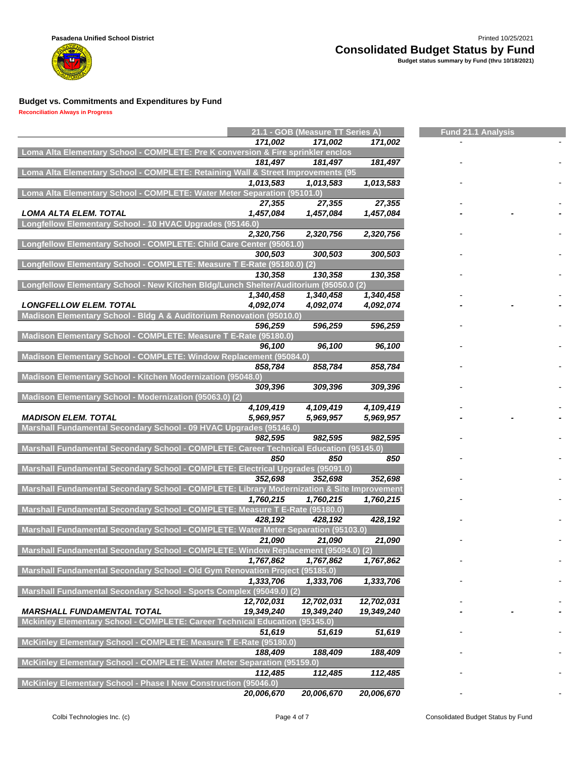**Reconciliation Always in Progress**

m

|                                                                                            |            | 21.1 - GOB (Measure TT Series A) |            | <b>Fund 21.1 Analysis</b> |  |  |  |
|--------------------------------------------------------------------------------------------|------------|----------------------------------|------------|---------------------------|--|--|--|
|                                                                                            | 171,002    | 171,002                          | 171,002    |                           |  |  |  |
| Loma Alta Elementary School - COMPLETE: Pre K conversion & Fire sprinkler enclos           |            |                                  |            |                           |  |  |  |
|                                                                                            | 181,497    | 181,497                          | 181,497    |                           |  |  |  |
| Loma Alta Elementary School - COMPLETE: Retaining Wall & Street Improvements (95           |            |                                  |            |                           |  |  |  |
|                                                                                            | 1,013,583  | 1,013,583                        | 1,013,583  |                           |  |  |  |
| Loma Alta Elementary School - COMPLETE: Water Meter Separation (95101.0)                   |            |                                  |            |                           |  |  |  |
|                                                                                            | 27,355     | 27,355                           | 27,355     |                           |  |  |  |
| <b>LOMA ALTA ELEM. TOTAL</b>                                                               | 1,457,084  | 1,457,084                        | 1,457,084  |                           |  |  |  |
| Longfellow Elementary School - 10 HVAC Upgrades (95146.0)                                  |            |                                  |            |                           |  |  |  |
|                                                                                            | 2,320,756  | 2,320,756                        | 2,320,756  |                           |  |  |  |
| Longfellow Elementary School - COMPLETE: Child Care Center (95061.0)                       |            |                                  |            |                           |  |  |  |
|                                                                                            | 300,503    | 300.503                          | 300,503    |                           |  |  |  |
| Longfellow Elementary School - COMPLETE: Measure T E-Rate (95180.0) (2)                    |            |                                  |            |                           |  |  |  |
|                                                                                            | 130,358    | 130,358                          | 130,358    |                           |  |  |  |
| Longfellow Elementary School - New Kitchen Bldg/Lunch Shelter/Auditorium (95050.0 (2)      |            |                                  |            |                           |  |  |  |
|                                                                                            | 1,340,458  | 1,340,458                        | 1,340,458  |                           |  |  |  |
| <b>LONGFELLOW ELEM. TOTAL</b>                                                              | 4,092,074  | 4,092,074                        | 4,092,074  |                           |  |  |  |
| Madison Elementary School - Bldg A & Auditorium Renovation (95010.0)                       |            |                                  |            |                           |  |  |  |
|                                                                                            | 596,259    | 596,259                          | 596,259    |                           |  |  |  |
| Madison Elementary School - COMPLETE: Measure T E-Rate (95180.0)                           |            |                                  |            |                           |  |  |  |
|                                                                                            | 96,100     | 96,100                           | 96,100     |                           |  |  |  |
| Madison Elementary School - COMPLETE: Window Replacement (95084.0)                         |            |                                  |            |                           |  |  |  |
|                                                                                            | 858,784    | 858,784                          | 858,784    |                           |  |  |  |
| Madison Elementary School - Kitchen Modernization (95048.0)                                |            |                                  |            |                           |  |  |  |
|                                                                                            | 309,396    | 309,396                          | 309,396    |                           |  |  |  |
| Madison Elementary School - Modernization (95063.0) (2)                                    |            |                                  |            |                           |  |  |  |
|                                                                                            | 4,109,419  | 4,109,419                        | 4,109,419  |                           |  |  |  |
| <b>MADISON ELEM. TOTAL</b>                                                                 | 5,969,957  | 5,969,957                        | 5,969,957  |                           |  |  |  |
| Marshall Fundamental Secondary School - 09 HVAC Upgrades (95146.0)                         |            |                                  |            |                           |  |  |  |
|                                                                                            | 982,595    | 982,595                          | 982,595    |                           |  |  |  |
| Marshall Fundamental Secondary School - COMPLETE: Career Technical Education (95145.0)     |            |                                  |            |                           |  |  |  |
|                                                                                            | 850        | 850                              | 850        |                           |  |  |  |
| Marshall Fundamental Secondary School - COMPLETE: Electrical Upgrades (95091.0)            |            |                                  |            |                           |  |  |  |
|                                                                                            | 352,698    | 352,698                          | 352,698    |                           |  |  |  |
| Marshall Fundamental Secondary School - COMPLETE: Library Modernization & Site Improvement |            |                                  |            |                           |  |  |  |
|                                                                                            | 1,760,215  | 1,760,215                        | 1,760,215  |                           |  |  |  |
| Marshall Fundamental Secondary School - COMPLETE: Measure T E-Rate (95180.0)               |            |                                  |            |                           |  |  |  |
|                                                                                            | 428.192    | 428,192                          | 428,192    |                           |  |  |  |
| Marshall Fundamental Secondary School - COMPLETE: Water Meter Separation (95103.0)         |            |                                  |            |                           |  |  |  |
|                                                                                            | 21,090     | 21,090                           | 21,090     |                           |  |  |  |
| Marshall Fundamental Secondary School - COMPLETE: Window Replacement (95094.0) (2)         |            |                                  |            |                           |  |  |  |
|                                                                                            | 1,767,862  |                                  |            |                           |  |  |  |
| Marshall Fundamental Secondary School - Old Gym Renovation Project (95185.0)               |            | 1,767,862                        | 1,767,862  |                           |  |  |  |
|                                                                                            |            |                                  |            |                           |  |  |  |
|                                                                                            | 1,333,706  | 1,333,706                        | 1,333,706  |                           |  |  |  |
| Marshall Fundamental Secondary School - Sports Complex (95049.0) (2)                       |            |                                  |            |                           |  |  |  |
|                                                                                            | 12,702,031 | 12,702,031                       | 12,702,031 |                           |  |  |  |
| <b>MARSHALL FUNDAMENTAL TOTAL</b>                                                          | 19,349,240 | 19,349,240                       | 19,349,240 |                           |  |  |  |
| Mckinley Elementary School - COMPLETE: Career Technical Education                          |            | (95145.0)                        |            |                           |  |  |  |
|                                                                                            | 51,619     | 51,619                           | 51,619     |                           |  |  |  |
| McKinley Elementary School - COMPLETE: Measure T E-Rate (95180.0)                          |            |                                  |            |                           |  |  |  |
|                                                                                            | 188,409    | 188,409                          | 188,409    |                           |  |  |  |
| McKinley Elementary School - COMPLETE: Water Meter Separation (95159.0)                    |            |                                  |            |                           |  |  |  |
|                                                                                            | 112,485    | 112,485                          | 112,485    |                           |  |  |  |
| McKinley Elementary School - Phase I New Construction (95046.0)                            |            |                                  |            |                           |  |  |  |
|                                                                                            | 20,006,670 | 20,006,670                       | 20,006,670 |                           |  |  |  |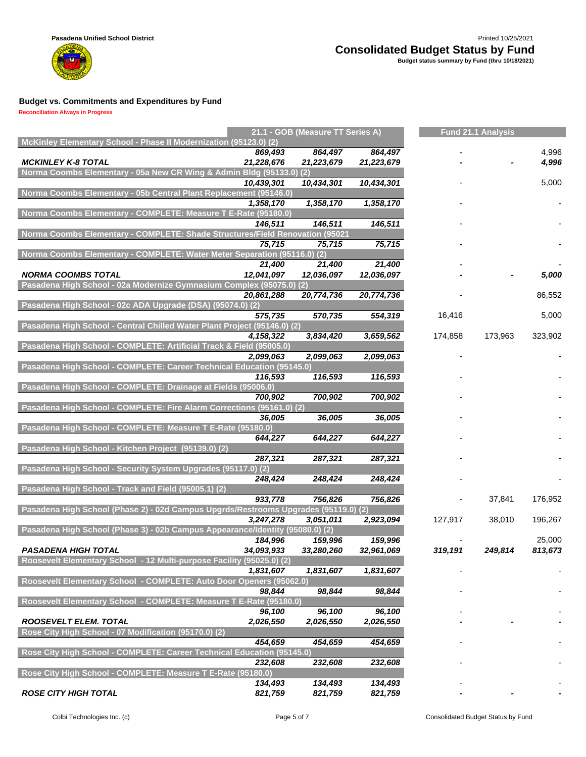

#### **Reconciliation Always in Progress**

| McKinley Elementary School - Phase II Modernization (95123.0) (2)<br>869,493<br>864,497<br>4,996<br>864,497<br><b>MCKINLEY K-8 TOTAL</b><br>21,228,676<br>21,223,679<br>4,996<br>21,223,679<br>Norma Coombs Elementary - 05a New CR Wing & Admin Bldg (95133.0) (2)<br>10,439,301<br>10,434,301<br>10,434,301<br>5,000<br>Norma Coombs Elementary - 05b Central Plant Replacement (95146.0)<br>1,358,170<br>1,358,170<br>1,358,170<br>Norma Coombs Elementary - COMPLETE: Measure T E-Rate (95180.0)<br>146,511<br>146,511<br>146,511<br><b>Norma Coombs Elementary - COMPLETE: Shade Structures/Field Renovation (95021</b><br>75,715<br>75,715<br>75,715<br>Norma Coombs Elementary - COMPLETE: Water Meter Separation (95116.0) (2)<br>21,400<br>21,400<br>21,400<br><b>NORMA COOMBS TOTAL</b><br>12,041,097<br>12,036,097<br>12,036,097<br>5,000<br>Pasadena High School - 02a Modernize Gymnasium Complex (95075.0)<br>(2)<br>86,552<br>20,861,288<br>20,774,736<br>20,774,736<br>Pasadena High School - 02c ADA Upgrade (DSA) (95074.0) (2)<br>570,735<br>554,319<br>16,416<br>5,000<br>575,735<br>Pasadena High School - Central Chilled Water Plant Project (95146.0) (2)<br>4,158,322<br>3,834,420<br>3,659,562<br>174,858<br>173,963<br>323,902<br>Pasadena High School - COMPLETE: Artificial Track & Field (95005.0)<br>2,099,063<br>2,099,063<br>2,099,063<br>Pasadena High School - COMPLETE: Career Technical Education (95145.0)<br>116,593<br>116,593<br>116,593<br>Pasadena High School - COMPLETE: Drainage at Fields (95006.0)<br>700,902<br>700,902<br>700,902<br>Pasadena High School - COMPLETE: Fire Alarm Corrections (95161.0) (2)<br>36,005<br>36,005<br>36,005<br>Pasadena High School - COMPLETE: Measure T E-Rate (95180.0)<br>644,227<br>644,227<br>644,227<br>Pasadena High School - Kitchen Project (95139.0) (2)<br>287,321<br>287,321<br>287,321<br>Pasadena High School - Security System Upgrades (95117.0) (2)<br>248,424<br>248,424<br>248,424<br>Pasadena High School - Track and Field (95005.1) (2)<br>933,778<br>756,826<br>756,826<br>37,841<br>176,952<br>Pasadena High School (Phase 2) - 02d Campus Upgrds/Restrooms Upgrades (95119.0) (2)<br>3,247,278<br>2,923,094<br>3,051,011<br>127,917<br>38,010<br>196,267<br>Pasadena High School (Phase 3) - 02b Campus Appearance/Identity (95080.0) (2)<br>159,996<br>184,996<br>159,996<br>25,000<br>34,093,933<br><b>PASADENA HIGH TOTAL</b><br>33,280,260<br>32,961,069<br>319,191<br>249,814<br>813,673<br>Roosevelt Elementary School - 12 Multi-purpose Facility (95025.0) (2)<br>1,831,607<br>1,831,607<br>1,831,607<br>Roosevelt Elementary School - COMPLETE: Auto Door Openers (95062.0)<br>98,844<br>98,844<br>98,844<br>Roosevelt Elementary School - COMPLETE: Measure T E-Rate (95180.0)<br>96,100<br>96,100<br>96,100<br><b>ROOSEVELT ELEM. TOTAL</b><br>2,026,550<br>2,026,550<br>2,026,550<br>Rose City High School - 07 Modification (95170.0) (2)<br>454,659<br>454,659<br>454,659<br>Rose City High School - COMPLETE: Career Technical Education (95145.0)<br>232,608<br>232,608<br>232,608<br>Rose City High School - COMPLETE: Measure T E-Rate (95180.0)<br>134,493<br>134,493<br>134,493<br><b>ROSE CITY HIGH TOTAL</b><br>821,759<br>821,759<br>821,759 |  | 21.1 - GOB (Measure TT Series A) |  | <b>Fund 21.1 Analysis</b> |  |
|------------------------------------------------------------------------------------------------------------------------------------------------------------------------------------------------------------------------------------------------------------------------------------------------------------------------------------------------------------------------------------------------------------------------------------------------------------------------------------------------------------------------------------------------------------------------------------------------------------------------------------------------------------------------------------------------------------------------------------------------------------------------------------------------------------------------------------------------------------------------------------------------------------------------------------------------------------------------------------------------------------------------------------------------------------------------------------------------------------------------------------------------------------------------------------------------------------------------------------------------------------------------------------------------------------------------------------------------------------------------------------------------------------------------------------------------------------------------------------------------------------------------------------------------------------------------------------------------------------------------------------------------------------------------------------------------------------------------------------------------------------------------------------------------------------------------------------------------------------------------------------------------------------------------------------------------------------------------------------------------------------------------------------------------------------------------------------------------------------------------------------------------------------------------------------------------------------------------------------------------------------------------------------------------------------------------------------------------------------------------------------------------------------------------------------------------------------------------------------------------------------------------------------------------------------------------------------------------------------------------------------------------------------------------------------------------------------------------------------------------------------------------------------------------------------------------------------------------------------------------------------------------------------------------------------------------------------------------------------------------------------------------------------------------------------------------------------------------------------------------------------------------------------------------------------------------------------------------------------------------------------------------------|--|----------------------------------|--|---------------------------|--|
|                                                                                                                                                                                                                                                                                                                                                                                                                                                                                                                                                                                                                                                                                                                                                                                                                                                                                                                                                                                                                                                                                                                                                                                                                                                                                                                                                                                                                                                                                                                                                                                                                                                                                                                                                                                                                                                                                                                                                                                                                                                                                                                                                                                                                                                                                                                                                                                                                                                                                                                                                                                                                                                                                                                                                                                                                                                                                                                                                                                                                                                                                                                                                                                                                                                                              |  |                                  |  |                           |  |
|                                                                                                                                                                                                                                                                                                                                                                                                                                                                                                                                                                                                                                                                                                                                                                                                                                                                                                                                                                                                                                                                                                                                                                                                                                                                                                                                                                                                                                                                                                                                                                                                                                                                                                                                                                                                                                                                                                                                                                                                                                                                                                                                                                                                                                                                                                                                                                                                                                                                                                                                                                                                                                                                                                                                                                                                                                                                                                                                                                                                                                                                                                                                                                                                                                                                              |  |                                  |  |                           |  |
|                                                                                                                                                                                                                                                                                                                                                                                                                                                                                                                                                                                                                                                                                                                                                                                                                                                                                                                                                                                                                                                                                                                                                                                                                                                                                                                                                                                                                                                                                                                                                                                                                                                                                                                                                                                                                                                                                                                                                                                                                                                                                                                                                                                                                                                                                                                                                                                                                                                                                                                                                                                                                                                                                                                                                                                                                                                                                                                                                                                                                                                                                                                                                                                                                                                                              |  |                                  |  |                           |  |
|                                                                                                                                                                                                                                                                                                                                                                                                                                                                                                                                                                                                                                                                                                                                                                                                                                                                                                                                                                                                                                                                                                                                                                                                                                                                                                                                                                                                                                                                                                                                                                                                                                                                                                                                                                                                                                                                                                                                                                                                                                                                                                                                                                                                                                                                                                                                                                                                                                                                                                                                                                                                                                                                                                                                                                                                                                                                                                                                                                                                                                                                                                                                                                                                                                                                              |  |                                  |  |                           |  |
|                                                                                                                                                                                                                                                                                                                                                                                                                                                                                                                                                                                                                                                                                                                                                                                                                                                                                                                                                                                                                                                                                                                                                                                                                                                                                                                                                                                                                                                                                                                                                                                                                                                                                                                                                                                                                                                                                                                                                                                                                                                                                                                                                                                                                                                                                                                                                                                                                                                                                                                                                                                                                                                                                                                                                                                                                                                                                                                                                                                                                                                                                                                                                                                                                                                                              |  |                                  |  |                           |  |
|                                                                                                                                                                                                                                                                                                                                                                                                                                                                                                                                                                                                                                                                                                                                                                                                                                                                                                                                                                                                                                                                                                                                                                                                                                                                                                                                                                                                                                                                                                                                                                                                                                                                                                                                                                                                                                                                                                                                                                                                                                                                                                                                                                                                                                                                                                                                                                                                                                                                                                                                                                                                                                                                                                                                                                                                                                                                                                                                                                                                                                                                                                                                                                                                                                                                              |  |                                  |  |                           |  |
|                                                                                                                                                                                                                                                                                                                                                                                                                                                                                                                                                                                                                                                                                                                                                                                                                                                                                                                                                                                                                                                                                                                                                                                                                                                                                                                                                                                                                                                                                                                                                                                                                                                                                                                                                                                                                                                                                                                                                                                                                                                                                                                                                                                                                                                                                                                                                                                                                                                                                                                                                                                                                                                                                                                                                                                                                                                                                                                                                                                                                                                                                                                                                                                                                                                                              |  |                                  |  |                           |  |
|                                                                                                                                                                                                                                                                                                                                                                                                                                                                                                                                                                                                                                                                                                                                                                                                                                                                                                                                                                                                                                                                                                                                                                                                                                                                                                                                                                                                                                                                                                                                                                                                                                                                                                                                                                                                                                                                                                                                                                                                                                                                                                                                                                                                                                                                                                                                                                                                                                                                                                                                                                                                                                                                                                                                                                                                                                                                                                                                                                                                                                                                                                                                                                                                                                                                              |  |                                  |  |                           |  |
|                                                                                                                                                                                                                                                                                                                                                                                                                                                                                                                                                                                                                                                                                                                                                                                                                                                                                                                                                                                                                                                                                                                                                                                                                                                                                                                                                                                                                                                                                                                                                                                                                                                                                                                                                                                                                                                                                                                                                                                                                                                                                                                                                                                                                                                                                                                                                                                                                                                                                                                                                                                                                                                                                                                                                                                                                                                                                                                                                                                                                                                                                                                                                                                                                                                                              |  |                                  |  |                           |  |
|                                                                                                                                                                                                                                                                                                                                                                                                                                                                                                                                                                                                                                                                                                                                                                                                                                                                                                                                                                                                                                                                                                                                                                                                                                                                                                                                                                                                                                                                                                                                                                                                                                                                                                                                                                                                                                                                                                                                                                                                                                                                                                                                                                                                                                                                                                                                                                                                                                                                                                                                                                                                                                                                                                                                                                                                                                                                                                                                                                                                                                                                                                                                                                                                                                                                              |  |                                  |  |                           |  |
|                                                                                                                                                                                                                                                                                                                                                                                                                                                                                                                                                                                                                                                                                                                                                                                                                                                                                                                                                                                                                                                                                                                                                                                                                                                                                                                                                                                                                                                                                                                                                                                                                                                                                                                                                                                                                                                                                                                                                                                                                                                                                                                                                                                                                                                                                                                                                                                                                                                                                                                                                                                                                                                                                                                                                                                                                                                                                                                                                                                                                                                                                                                                                                                                                                                                              |  |                                  |  |                           |  |
|                                                                                                                                                                                                                                                                                                                                                                                                                                                                                                                                                                                                                                                                                                                                                                                                                                                                                                                                                                                                                                                                                                                                                                                                                                                                                                                                                                                                                                                                                                                                                                                                                                                                                                                                                                                                                                                                                                                                                                                                                                                                                                                                                                                                                                                                                                                                                                                                                                                                                                                                                                                                                                                                                                                                                                                                                                                                                                                                                                                                                                                                                                                                                                                                                                                                              |  |                                  |  |                           |  |
|                                                                                                                                                                                                                                                                                                                                                                                                                                                                                                                                                                                                                                                                                                                                                                                                                                                                                                                                                                                                                                                                                                                                                                                                                                                                                                                                                                                                                                                                                                                                                                                                                                                                                                                                                                                                                                                                                                                                                                                                                                                                                                                                                                                                                                                                                                                                                                                                                                                                                                                                                                                                                                                                                                                                                                                                                                                                                                                                                                                                                                                                                                                                                                                                                                                                              |  |                                  |  |                           |  |
|                                                                                                                                                                                                                                                                                                                                                                                                                                                                                                                                                                                                                                                                                                                                                                                                                                                                                                                                                                                                                                                                                                                                                                                                                                                                                                                                                                                                                                                                                                                                                                                                                                                                                                                                                                                                                                                                                                                                                                                                                                                                                                                                                                                                                                                                                                                                                                                                                                                                                                                                                                                                                                                                                                                                                                                                                                                                                                                                                                                                                                                                                                                                                                                                                                                                              |  |                                  |  |                           |  |
|                                                                                                                                                                                                                                                                                                                                                                                                                                                                                                                                                                                                                                                                                                                                                                                                                                                                                                                                                                                                                                                                                                                                                                                                                                                                                                                                                                                                                                                                                                                                                                                                                                                                                                                                                                                                                                                                                                                                                                                                                                                                                                                                                                                                                                                                                                                                                                                                                                                                                                                                                                                                                                                                                                                                                                                                                                                                                                                                                                                                                                                                                                                                                                                                                                                                              |  |                                  |  |                           |  |
|                                                                                                                                                                                                                                                                                                                                                                                                                                                                                                                                                                                                                                                                                                                                                                                                                                                                                                                                                                                                                                                                                                                                                                                                                                                                                                                                                                                                                                                                                                                                                                                                                                                                                                                                                                                                                                                                                                                                                                                                                                                                                                                                                                                                                                                                                                                                                                                                                                                                                                                                                                                                                                                                                                                                                                                                                                                                                                                                                                                                                                                                                                                                                                                                                                                                              |  |                                  |  |                           |  |
|                                                                                                                                                                                                                                                                                                                                                                                                                                                                                                                                                                                                                                                                                                                                                                                                                                                                                                                                                                                                                                                                                                                                                                                                                                                                                                                                                                                                                                                                                                                                                                                                                                                                                                                                                                                                                                                                                                                                                                                                                                                                                                                                                                                                                                                                                                                                                                                                                                                                                                                                                                                                                                                                                                                                                                                                                                                                                                                                                                                                                                                                                                                                                                                                                                                                              |  |                                  |  |                           |  |
|                                                                                                                                                                                                                                                                                                                                                                                                                                                                                                                                                                                                                                                                                                                                                                                                                                                                                                                                                                                                                                                                                                                                                                                                                                                                                                                                                                                                                                                                                                                                                                                                                                                                                                                                                                                                                                                                                                                                                                                                                                                                                                                                                                                                                                                                                                                                                                                                                                                                                                                                                                                                                                                                                                                                                                                                                                                                                                                                                                                                                                                                                                                                                                                                                                                                              |  |                                  |  |                           |  |
|                                                                                                                                                                                                                                                                                                                                                                                                                                                                                                                                                                                                                                                                                                                                                                                                                                                                                                                                                                                                                                                                                                                                                                                                                                                                                                                                                                                                                                                                                                                                                                                                                                                                                                                                                                                                                                                                                                                                                                                                                                                                                                                                                                                                                                                                                                                                                                                                                                                                                                                                                                                                                                                                                                                                                                                                                                                                                                                                                                                                                                                                                                                                                                                                                                                                              |  |                                  |  |                           |  |
|                                                                                                                                                                                                                                                                                                                                                                                                                                                                                                                                                                                                                                                                                                                                                                                                                                                                                                                                                                                                                                                                                                                                                                                                                                                                                                                                                                                                                                                                                                                                                                                                                                                                                                                                                                                                                                                                                                                                                                                                                                                                                                                                                                                                                                                                                                                                                                                                                                                                                                                                                                                                                                                                                                                                                                                                                                                                                                                                                                                                                                                                                                                                                                                                                                                                              |  |                                  |  |                           |  |
|                                                                                                                                                                                                                                                                                                                                                                                                                                                                                                                                                                                                                                                                                                                                                                                                                                                                                                                                                                                                                                                                                                                                                                                                                                                                                                                                                                                                                                                                                                                                                                                                                                                                                                                                                                                                                                                                                                                                                                                                                                                                                                                                                                                                                                                                                                                                                                                                                                                                                                                                                                                                                                                                                                                                                                                                                                                                                                                                                                                                                                                                                                                                                                                                                                                                              |  |                                  |  |                           |  |
|                                                                                                                                                                                                                                                                                                                                                                                                                                                                                                                                                                                                                                                                                                                                                                                                                                                                                                                                                                                                                                                                                                                                                                                                                                                                                                                                                                                                                                                                                                                                                                                                                                                                                                                                                                                                                                                                                                                                                                                                                                                                                                                                                                                                                                                                                                                                                                                                                                                                                                                                                                                                                                                                                                                                                                                                                                                                                                                                                                                                                                                                                                                                                                                                                                                                              |  |                                  |  |                           |  |
|                                                                                                                                                                                                                                                                                                                                                                                                                                                                                                                                                                                                                                                                                                                                                                                                                                                                                                                                                                                                                                                                                                                                                                                                                                                                                                                                                                                                                                                                                                                                                                                                                                                                                                                                                                                                                                                                                                                                                                                                                                                                                                                                                                                                                                                                                                                                                                                                                                                                                                                                                                                                                                                                                                                                                                                                                                                                                                                                                                                                                                                                                                                                                                                                                                                                              |  |                                  |  |                           |  |
|                                                                                                                                                                                                                                                                                                                                                                                                                                                                                                                                                                                                                                                                                                                                                                                                                                                                                                                                                                                                                                                                                                                                                                                                                                                                                                                                                                                                                                                                                                                                                                                                                                                                                                                                                                                                                                                                                                                                                                                                                                                                                                                                                                                                                                                                                                                                                                                                                                                                                                                                                                                                                                                                                                                                                                                                                                                                                                                                                                                                                                                                                                                                                                                                                                                                              |  |                                  |  |                           |  |
|                                                                                                                                                                                                                                                                                                                                                                                                                                                                                                                                                                                                                                                                                                                                                                                                                                                                                                                                                                                                                                                                                                                                                                                                                                                                                                                                                                                                                                                                                                                                                                                                                                                                                                                                                                                                                                                                                                                                                                                                                                                                                                                                                                                                                                                                                                                                                                                                                                                                                                                                                                                                                                                                                                                                                                                                                                                                                                                                                                                                                                                                                                                                                                                                                                                                              |  |                                  |  |                           |  |
|                                                                                                                                                                                                                                                                                                                                                                                                                                                                                                                                                                                                                                                                                                                                                                                                                                                                                                                                                                                                                                                                                                                                                                                                                                                                                                                                                                                                                                                                                                                                                                                                                                                                                                                                                                                                                                                                                                                                                                                                                                                                                                                                                                                                                                                                                                                                                                                                                                                                                                                                                                                                                                                                                                                                                                                                                                                                                                                                                                                                                                                                                                                                                                                                                                                                              |  |                                  |  |                           |  |
|                                                                                                                                                                                                                                                                                                                                                                                                                                                                                                                                                                                                                                                                                                                                                                                                                                                                                                                                                                                                                                                                                                                                                                                                                                                                                                                                                                                                                                                                                                                                                                                                                                                                                                                                                                                                                                                                                                                                                                                                                                                                                                                                                                                                                                                                                                                                                                                                                                                                                                                                                                                                                                                                                                                                                                                                                                                                                                                                                                                                                                                                                                                                                                                                                                                                              |  |                                  |  |                           |  |
|                                                                                                                                                                                                                                                                                                                                                                                                                                                                                                                                                                                                                                                                                                                                                                                                                                                                                                                                                                                                                                                                                                                                                                                                                                                                                                                                                                                                                                                                                                                                                                                                                                                                                                                                                                                                                                                                                                                                                                                                                                                                                                                                                                                                                                                                                                                                                                                                                                                                                                                                                                                                                                                                                                                                                                                                                                                                                                                                                                                                                                                                                                                                                                                                                                                                              |  |                                  |  |                           |  |
|                                                                                                                                                                                                                                                                                                                                                                                                                                                                                                                                                                                                                                                                                                                                                                                                                                                                                                                                                                                                                                                                                                                                                                                                                                                                                                                                                                                                                                                                                                                                                                                                                                                                                                                                                                                                                                                                                                                                                                                                                                                                                                                                                                                                                                                                                                                                                                                                                                                                                                                                                                                                                                                                                                                                                                                                                                                                                                                                                                                                                                                                                                                                                                                                                                                                              |  |                                  |  |                           |  |
|                                                                                                                                                                                                                                                                                                                                                                                                                                                                                                                                                                                                                                                                                                                                                                                                                                                                                                                                                                                                                                                                                                                                                                                                                                                                                                                                                                                                                                                                                                                                                                                                                                                                                                                                                                                                                                                                                                                                                                                                                                                                                                                                                                                                                                                                                                                                                                                                                                                                                                                                                                                                                                                                                                                                                                                                                                                                                                                                                                                                                                                                                                                                                                                                                                                                              |  |                                  |  |                           |  |
|                                                                                                                                                                                                                                                                                                                                                                                                                                                                                                                                                                                                                                                                                                                                                                                                                                                                                                                                                                                                                                                                                                                                                                                                                                                                                                                                                                                                                                                                                                                                                                                                                                                                                                                                                                                                                                                                                                                                                                                                                                                                                                                                                                                                                                                                                                                                                                                                                                                                                                                                                                                                                                                                                                                                                                                                                                                                                                                                                                                                                                                                                                                                                                                                                                                                              |  |                                  |  |                           |  |
|                                                                                                                                                                                                                                                                                                                                                                                                                                                                                                                                                                                                                                                                                                                                                                                                                                                                                                                                                                                                                                                                                                                                                                                                                                                                                                                                                                                                                                                                                                                                                                                                                                                                                                                                                                                                                                                                                                                                                                                                                                                                                                                                                                                                                                                                                                                                                                                                                                                                                                                                                                                                                                                                                                                                                                                                                                                                                                                                                                                                                                                                                                                                                                                                                                                                              |  |                                  |  |                           |  |
|                                                                                                                                                                                                                                                                                                                                                                                                                                                                                                                                                                                                                                                                                                                                                                                                                                                                                                                                                                                                                                                                                                                                                                                                                                                                                                                                                                                                                                                                                                                                                                                                                                                                                                                                                                                                                                                                                                                                                                                                                                                                                                                                                                                                                                                                                                                                                                                                                                                                                                                                                                                                                                                                                                                                                                                                                                                                                                                                                                                                                                                                                                                                                                                                                                                                              |  |                                  |  |                           |  |
|                                                                                                                                                                                                                                                                                                                                                                                                                                                                                                                                                                                                                                                                                                                                                                                                                                                                                                                                                                                                                                                                                                                                                                                                                                                                                                                                                                                                                                                                                                                                                                                                                                                                                                                                                                                                                                                                                                                                                                                                                                                                                                                                                                                                                                                                                                                                                                                                                                                                                                                                                                                                                                                                                                                                                                                                                                                                                                                                                                                                                                                                                                                                                                                                                                                                              |  |                                  |  |                           |  |
|                                                                                                                                                                                                                                                                                                                                                                                                                                                                                                                                                                                                                                                                                                                                                                                                                                                                                                                                                                                                                                                                                                                                                                                                                                                                                                                                                                                                                                                                                                                                                                                                                                                                                                                                                                                                                                                                                                                                                                                                                                                                                                                                                                                                                                                                                                                                                                                                                                                                                                                                                                                                                                                                                                                                                                                                                                                                                                                                                                                                                                                                                                                                                                                                                                                                              |  |                                  |  |                           |  |
|                                                                                                                                                                                                                                                                                                                                                                                                                                                                                                                                                                                                                                                                                                                                                                                                                                                                                                                                                                                                                                                                                                                                                                                                                                                                                                                                                                                                                                                                                                                                                                                                                                                                                                                                                                                                                                                                                                                                                                                                                                                                                                                                                                                                                                                                                                                                                                                                                                                                                                                                                                                                                                                                                                                                                                                                                                                                                                                                                                                                                                                                                                                                                                                                                                                                              |  |                                  |  |                           |  |
|                                                                                                                                                                                                                                                                                                                                                                                                                                                                                                                                                                                                                                                                                                                                                                                                                                                                                                                                                                                                                                                                                                                                                                                                                                                                                                                                                                                                                                                                                                                                                                                                                                                                                                                                                                                                                                                                                                                                                                                                                                                                                                                                                                                                                                                                                                                                                                                                                                                                                                                                                                                                                                                                                                                                                                                                                                                                                                                                                                                                                                                                                                                                                                                                                                                                              |  |                                  |  |                           |  |
|                                                                                                                                                                                                                                                                                                                                                                                                                                                                                                                                                                                                                                                                                                                                                                                                                                                                                                                                                                                                                                                                                                                                                                                                                                                                                                                                                                                                                                                                                                                                                                                                                                                                                                                                                                                                                                                                                                                                                                                                                                                                                                                                                                                                                                                                                                                                                                                                                                                                                                                                                                                                                                                                                                                                                                                                                                                                                                                                                                                                                                                                                                                                                                                                                                                                              |  |                                  |  |                           |  |
|                                                                                                                                                                                                                                                                                                                                                                                                                                                                                                                                                                                                                                                                                                                                                                                                                                                                                                                                                                                                                                                                                                                                                                                                                                                                                                                                                                                                                                                                                                                                                                                                                                                                                                                                                                                                                                                                                                                                                                                                                                                                                                                                                                                                                                                                                                                                                                                                                                                                                                                                                                                                                                                                                                                                                                                                                                                                                                                                                                                                                                                                                                                                                                                                                                                                              |  |                                  |  |                           |  |
|                                                                                                                                                                                                                                                                                                                                                                                                                                                                                                                                                                                                                                                                                                                                                                                                                                                                                                                                                                                                                                                                                                                                                                                                                                                                                                                                                                                                                                                                                                                                                                                                                                                                                                                                                                                                                                                                                                                                                                                                                                                                                                                                                                                                                                                                                                                                                                                                                                                                                                                                                                                                                                                                                                                                                                                                                                                                                                                                                                                                                                                                                                                                                                                                                                                                              |  |                                  |  |                           |  |
|                                                                                                                                                                                                                                                                                                                                                                                                                                                                                                                                                                                                                                                                                                                                                                                                                                                                                                                                                                                                                                                                                                                                                                                                                                                                                                                                                                                                                                                                                                                                                                                                                                                                                                                                                                                                                                                                                                                                                                                                                                                                                                                                                                                                                                                                                                                                                                                                                                                                                                                                                                                                                                                                                                                                                                                                                                                                                                                                                                                                                                                                                                                                                                                                                                                                              |  |                                  |  |                           |  |
|                                                                                                                                                                                                                                                                                                                                                                                                                                                                                                                                                                                                                                                                                                                                                                                                                                                                                                                                                                                                                                                                                                                                                                                                                                                                                                                                                                                                                                                                                                                                                                                                                                                                                                                                                                                                                                                                                                                                                                                                                                                                                                                                                                                                                                                                                                                                                                                                                                                                                                                                                                                                                                                                                                                                                                                                                                                                                                                                                                                                                                                                                                                                                                                                                                                                              |  |                                  |  |                           |  |
|                                                                                                                                                                                                                                                                                                                                                                                                                                                                                                                                                                                                                                                                                                                                                                                                                                                                                                                                                                                                                                                                                                                                                                                                                                                                                                                                                                                                                                                                                                                                                                                                                                                                                                                                                                                                                                                                                                                                                                                                                                                                                                                                                                                                                                                                                                                                                                                                                                                                                                                                                                                                                                                                                                                                                                                                                                                                                                                                                                                                                                                                                                                                                                                                                                                                              |  |                                  |  |                           |  |
|                                                                                                                                                                                                                                                                                                                                                                                                                                                                                                                                                                                                                                                                                                                                                                                                                                                                                                                                                                                                                                                                                                                                                                                                                                                                                                                                                                                                                                                                                                                                                                                                                                                                                                                                                                                                                                                                                                                                                                                                                                                                                                                                                                                                                                                                                                                                                                                                                                                                                                                                                                                                                                                                                                                                                                                                                                                                                                                                                                                                                                                                                                                                                                                                                                                                              |  |                                  |  |                           |  |
|                                                                                                                                                                                                                                                                                                                                                                                                                                                                                                                                                                                                                                                                                                                                                                                                                                                                                                                                                                                                                                                                                                                                                                                                                                                                                                                                                                                                                                                                                                                                                                                                                                                                                                                                                                                                                                                                                                                                                                                                                                                                                                                                                                                                                                                                                                                                                                                                                                                                                                                                                                                                                                                                                                                                                                                                                                                                                                                                                                                                                                                                                                                                                                                                                                                                              |  |                                  |  |                           |  |
|                                                                                                                                                                                                                                                                                                                                                                                                                                                                                                                                                                                                                                                                                                                                                                                                                                                                                                                                                                                                                                                                                                                                                                                                                                                                                                                                                                                                                                                                                                                                                                                                                                                                                                                                                                                                                                                                                                                                                                                                                                                                                                                                                                                                                                                                                                                                                                                                                                                                                                                                                                                                                                                                                                                                                                                                                                                                                                                                                                                                                                                                                                                                                                                                                                                                              |  |                                  |  |                           |  |
|                                                                                                                                                                                                                                                                                                                                                                                                                                                                                                                                                                                                                                                                                                                                                                                                                                                                                                                                                                                                                                                                                                                                                                                                                                                                                                                                                                                                                                                                                                                                                                                                                                                                                                                                                                                                                                                                                                                                                                                                                                                                                                                                                                                                                                                                                                                                                                                                                                                                                                                                                                                                                                                                                                                                                                                                                                                                                                                                                                                                                                                                                                                                                                                                                                                                              |  |                                  |  |                           |  |
|                                                                                                                                                                                                                                                                                                                                                                                                                                                                                                                                                                                                                                                                                                                                                                                                                                                                                                                                                                                                                                                                                                                                                                                                                                                                                                                                                                                                                                                                                                                                                                                                                                                                                                                                                                                                                                                                                                                                                                                                                                                                                                                                                                                                                                                                                                                                                                                                                                                                                                                                                                                                                                                                                                                                                                                                                                                                                                                                                                                                                                                                                                                                                                                                                                                                              |  |                                  |  |                           |  |
|                                                                                                                                                                                                                                                                                                                                                                                                                                                                                                                                                                                                                                                                                                                                                                                                                                                                                                                                                                                                                                                                                                                                                                                                                                                                                                                                                                                                                                                                                                                                                                                                                                                                                                                                                                                                                                                                                                                                                                                                                                                                                                                                                                                                                                                                                                                                                                                                                                                                                                                                                                                                                                                                                                                                                                                                                                                                                                                                                                                                                                                                                                                                                                                                                                                                              |  |                                  |  |                           |  |
|                                                                                                                                                                                                                                                                                                                                                                                                                                                                                                                                                                                                                                                                                                                                                                                                                                                                                                                                                                                                                                                                                                                                                                                                                                                                                                                                                                                                                                                                                                                                                                                                                                                                                                                                                                                                                                                                                                                                                                                                                                                                                                                                                                                                                                                                                                                                                                                                                                                                                                                                                                                                                                                                                                                                                                                                                                                                                                                                                                                                                                                                                                                                                                                                                                                                              |  |                                  |  |                           |  |
|                                                                                                                                                                                                                                                                                                                                                                                                                                                                                                                                                                                                                                                                                                                                                                                                                                                                                                                                                                                                                                                                                                                                                                                                                                                                                                                                                                                                                                                                                                                                                                                                                                                                                                                                                                                                                                                                                                                                                                                                                                                                                                                                                                                                                                                                                                                                                                                                                                                                                                                                                                                                                                                                                                                                                                                                                                                                                                                                                                                                                                                                                                                                                                                                                                                                              |  |                                  |  |                           |  |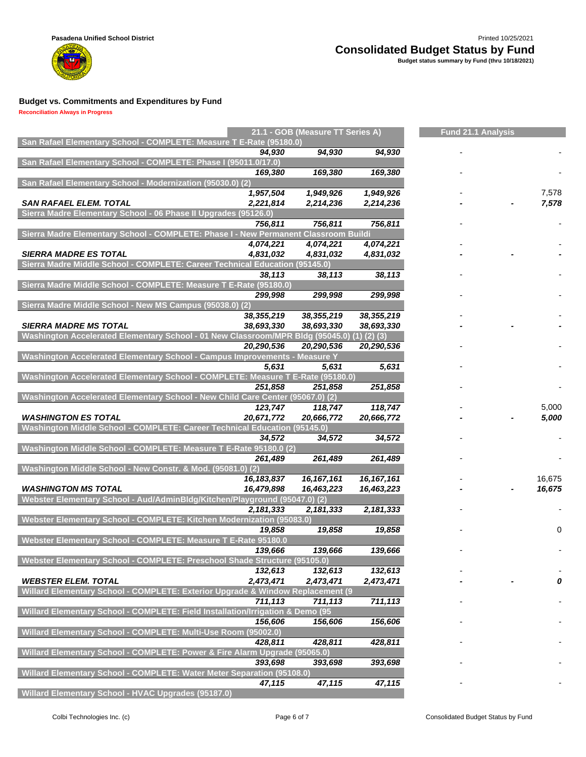

**Reconciliation Always in Progress**

m

| San Rafael Elementary School - COMPLETE: Measure T E-Rate (95180.0)                 |              | 21.1 - GOB (Measure TT Series A) |                   | <b>Fund 21.1 Analysis</b> |          |  |  |
|-------------------------------------------------------------------------------------|--------------|----------------------------------|-------------------|---------------------------|----------|--|--|
|                                                                                     | 94,930       | 94,930                           | 94,930            |                           |          |  |  |
| San Rafael Elementary School - COMPLETE: Phase I (95011.0/17.0)                     |              |                                  |                   |                           |          |  |  |
|                                                                                     | 169,380      | 169,380                          | 169,380           |                           |          |  |  |
| San Rafael Elementary School - Modernization (95030.0) (2)                          |              |                                  |                   |                           |          |  |  |
|                                                                                     | 1,957,504    | 1,949,926                        | 1,949,926         |                           | 7,578    |  |  |
| <b>SAN RAFAEL ELEM. TOTAL</b>                                                       | 2,221,814    | 2,214,236                        | 2,214,236         |                           | 7,578    |  |  |
| Sierra Madre Elementary School - 06 Phase II Upgrades (95126.0)                     |              |                                  |                   |                           |          |  |  |
|                                                                                     | 756,811      | 756,811                          | 756,811           |                           |          |  |  |
| Sierra Madre Elementary School - COMPLETE: Phase I - New Permanent Classroom Buildi |              |                                  |                   |                           |          |  |  |
|                                                                                     | 4,074,221    | 4,074,221                        | 4,074,221         |                           |          |  |  |
| <b>SIERRA MADRE ES TOTAL</b>                                                        | 4,831,032    | 4,831,032                        | 4,831,032         |                           |          |  |  |
| Sierra Madre Middle School - COMPLETE: Career Technical Education (95145.0)         |              |                                  |                   |                           |          |  |  |
|                                                                                     | 38,113       | 38,113                           | 38,113            |                           |          |  |  |
| Sierra Madre Middle School - COMPLETE: Measure T E-Rate (95180.0)                   |              |                                  |                   |                           |          |  |  |
|                                                                                     | 299,998      | 299,998                          | 299,998           |                           |          |  |  |
| Sierra Madre Middle School - New MS Campus (95038.0) (2)                            |              |                                  |                   |                           |          |  |  |
|                                                                                     | 38,355,219   | 38,355,219                       | 38,355,219        |                           |          |  |  |
| <b>SIERRA MADRE MS TOTAL</b>                                                        | 38,693,330   | 38,693,330                       | 38,693,330        |                           |          |  |  |
| Washington Accelerated Elementary School - 01 New Classroom/MPR Bldg (95045.0)      |              |                                  | $(1)$ $(2)$ $(3)$ |                           |          |  |  |
|                                                                                     | 20,290,536   | 20,290,536                       | 20,290,536        |                           |          |  |  |
| Washington Accelerated Elementary School - Campus Improvements - Measure Y          |              |                                  |                   |                           |          |  |  |
|                                                                                     | 5,631        | 5,631                            | 5,631             |                           |          |  |  |
| Washington Accelerated Elementary School - COMPLETE: Measure T E-Rate (95180.0)     |              |                                  |                   |                           |          |  |  |
|                                                                                     | 251,858      | 251,858                          | 251,858           |                           |          |  |  |
| Washington Accelerated Elementary School - New Child Care Center (95067.0) (2)      |              |                                  |                   |                           |          |  |  |
|                                                                                     | 123,747      | 118,747                          | 118,747           |                           | 5,000    |  |  |
| <b>WASHINGTON ES TOTAL</b>                                                          | 20,671,772   | 20,666,772                       | 20,666,772        |                           | 5,000    |  |  |
| Washington Middle School - COMPLETE: Career Technical Education (95145.0)           |              |                                  |                   |                           |          |  |  |
|                                                                                     | 34,572       | 34,572                           | 34,572            |                           |          |  |  |
| Washington Middle School - COMPLETE: Measure T E-Rate 95180.0 (2)                   |              |                                  |                   |                           |          |  |  |
|                                                                                     | 261,489      | 261,489                          | 261,489           |                           |          |  |  |
| Washington Middle School - New Constr. & Mod. (95081.0) (2)                         |              |                                  |                   |                           |          |  |  |
|                                                                                     | 16, 183, 837 | 16, 167, 161                     | 16, 167, 161      |                           | 16,675   |  |  |
| <b>WASHINGTON MS TOTAL</b>                                                          | 16,479,898   | 16,463,223                       | 16,463,223        |                           | 16,675   |  |  |
| Webster Elementary School - Aud/AdminBldg/Kitchen/Playground (95047.0) (2)          |              | 2,181,333                        |                   |                           |          |  |  |
| Webster Elementary School - COMPLETE: Kitchen Modernization (95083.0)               | 2,181,333    |                                  | 2,181,333         |                           |          |  |  |
|                                                                                     | 19,858       | 19,858                           | 19,858            |                           | $\Omega$ |  |  |
| Webster Elementary School - COMPLETE: Measure T E-Rate 95180.0                      |              |                                  |                   |                           |          |  |  |
|                                                                                     | 139,666      | 139,666                          | 139,666           |                           |          |  |  |
| Webster Elementary School - COMPLETE: Preschool Shade Structure (95105.0)           |              |                                  |                   |                           |          |  |  |
|                                                                                     | 132,613      | 132,613                          | 132,613           |                           |          |  |  |
| <b>WEBSTER ELEM. TOTAL</b>                                                          | 2,473,471    | 2,473,471                        | 2,473,471         |                           | 0        |  |  |
| Willard Elementary School - COMPLETE: Exterior Upgrade & Window Replacement (9      |              |                                  |                   |                           |          |  |  |
|                                                                                     | 711,113      | 711,113                          | 711,113           |                           |          |  |  |
| Willard Elementary School - COMPLETE: Field Installation/Irrigation & Demo (95      |              |                                  |                   |                           |          |  |  |
|                                                                                     | 156,606      | 156,606                          | 156,606           |                           |          |  |  |
| Willard Elementary School - COMPLETE: Multi-Use Room (95002.0)                      |              |                                  |                   |                           |          |  |  |
|                                                                                     | 428.811      | 428,811                          | 428,811           |                           |          |  |  |
| Willard Elementary School - COMPLETE: Power & Fire Alarm Upgrade (95065.0)          |              |                                  |                   |                           |          |  |  |
|                                                                                     | 393,698      | 393,698                          | 393,698           |                           |          |  |  |
| Willard Elementary School - COMPLETE: Water Meter Separation (95108.0)              |              |                                  |                   |                           |          |  |  |
|                                                                                     | 47,115       | 47,115                           | 47,115            |                           |          |  |  |
| Willard Elementary School - HVAC Upgrades (95187.0)                                 |              |                                  |                   |                           |          |  |  |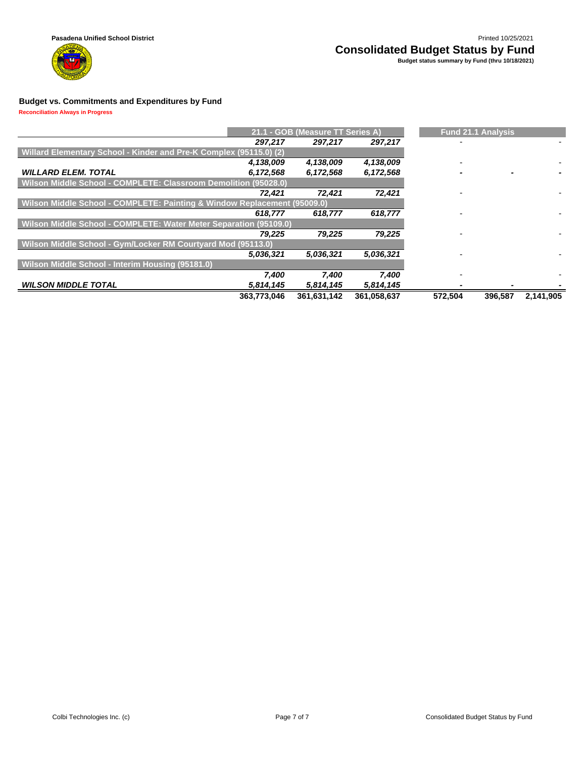

**Reconciliation Always in Progress**

|                                                                          |             | 21.1 - GOB (Measure TT Series A) |             | <b>Fund 21.1 Analysis</b> |           |
|--------------------------------------------------------------------------|-------------|----------------------------------|-------------|---------------------------|-----------|
|                                                                          | 297,217     | 297,217                          | 297,217     |                           |           |
| Willard Elementary School - Kinder and Pre-K Complex (95115.0) (2)       |             |                                  |             |                           |           |
|                                                                          | 4,138,009   | 4,138,009                        | 4,138,009   |                           |           |
| <b>WILLARD ELEM. TOTAL</b>                                               | 6,172,568   | 6,172,568                        | 6,172,568   |                           |           |
| Wilson Middle School - COMPLETE: Classroom Demolition (95028.0)          |             |                                  |             |                           |           |
|                                                                          | 72.421      | 72.421                           | 72,421      |                           |           |
| Wilson Middle School - COMPLETE: Painting & Window Replacement (95009.0) |             |                                  |             |                           |           |
|                                                                          | 618,777     | 618,777                          | 618,777     |                           |           |
| Wilson Middle School - COMPLETE: Water Meter Separation (95109.0)        |             |                                  |             |                           |           |
|                                                                          | 79,225      | 79,225                           | 79,225      |                           |           |
| Wilson Middle School - Gym/Locker RM Courtyard Mod (95113.0)             |             |                                  |             |                           |           |
|                                                                          | 5,036,321   | 5,036,321                        | 5,036,321   |                           |           |
| Wilson Middle School - Interim Housing (95181.0)                         |             |                                  |             |                           |           |
|                                                                          | 7,400       | 7,400                            | 7,400       |                           |           |
| <b>WILSON MIDDLE TOTAL</b>                                               | 5,814,145   | 5,814,145                        | 5,814,145   |                           |           |
|                                                                          | 363,773,046 | 361,631,142                      | 361,058,637 | 396.587<br>572.504        | 2.141.905 |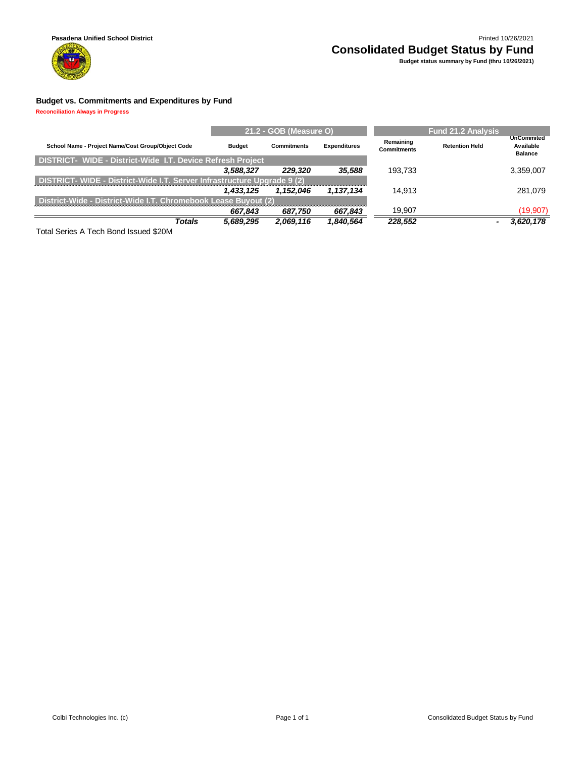

### **Pasadena Unified School District** Printed 10/26/2021 **Consolidated Budget Status by Fund Budget status summary by Fund (thru 10/26/2021)**

#### **Budget vs. Commitments and Expenditures by Fund**

**Reconciliation Always in Progress**

|                                                                         |               | 21.2 - GOB (Measure O) |                     |                                 |                       |                                                  |
|-------------------------------------------------------------------------|---------------|------------------------|---------------------|---------------------------------|-----------------------|--------------------------------------------------|
| School Name - Project Name/Cost Group/Object Code                       | <b>Budget</b> | <b>Commitments</b>     | <b>Expenditures</b> | Remaining<br><b>Commitments</b> | <b>Retention Held</b> | <b>UnCommited</b><br>Available<br><b>Balance</b> |
| <b>DISTRICT- WIDE - District-Wide I.T. Device Refresh Project</b>       |               |                        |                     |                                 |                       |                                                  |
|                                                                         | 3,588,327     | 229.320                | 35.588              | 193.733                         |                       | 3,359,007                                        |
| DISTRICT- WIDE - District-Wide I.T. Server Infrastructure Upgrade 9 (2) |               |                        |                     |                                 |                       |                                                  |
|                                                                         | 1.433.125     | 1.152.046              | 1,137,134           | 14.913                          |                       | 281.079                                          |
| District-Wide - District-Wide I.T. Chromebook Lease Buyout (2)          |               |                        |                     |                                 |                       |                                                  |
|                                                                         | 667,843       | 687,750                | 667,843             | 19.907                          |                       | (19, 907)                                        |
| <b>Totals</b>                                                           | 5,689,295     | 2,069,116              | 1,840,564           | 228.552                         |                       | 3,620,178                                        |

Total Series A Tech Bond Issued \$20M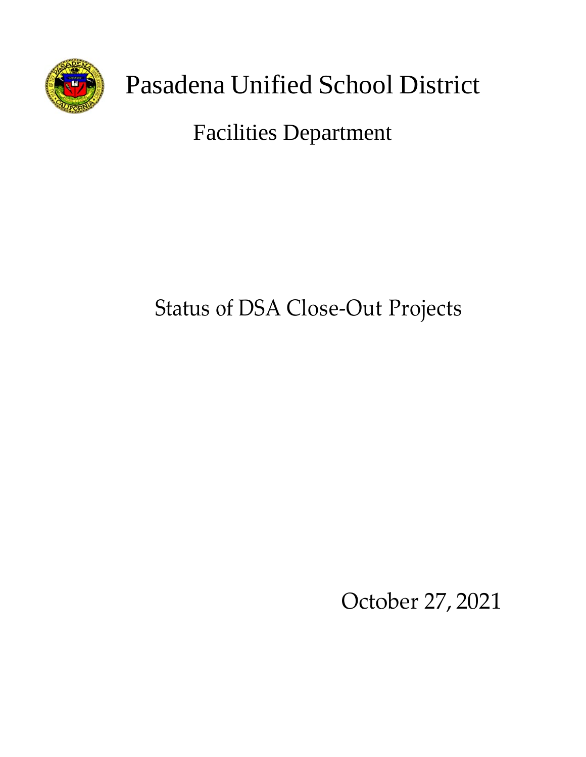

# Pasadena Unified School District

# Facilities Department

# Status of DSA Close-Out Projects

October 27, 2021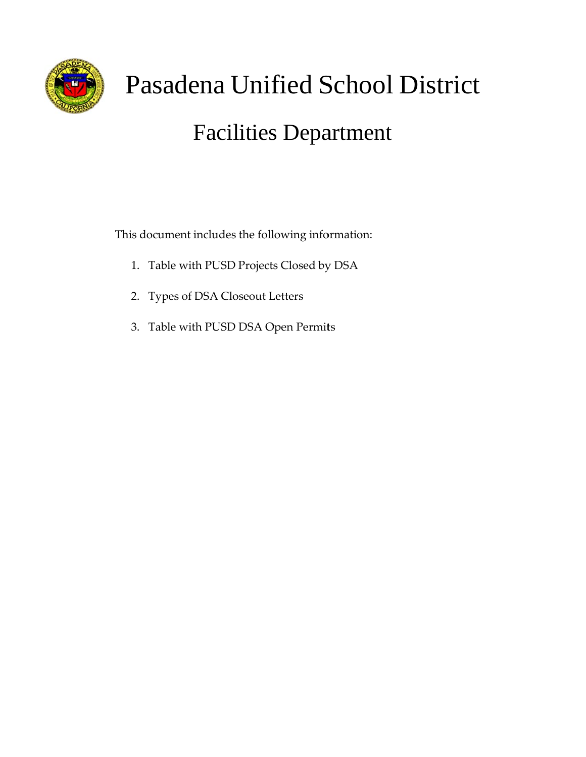

# Pasadena Unified School District Facilities Department

This document includes the following information:

- 1. Table with PUSD Projects Closed by DSA
- 2. Typ pes of DSA Closeout L Letters
- 3. Table with PUSD DSA Open Permits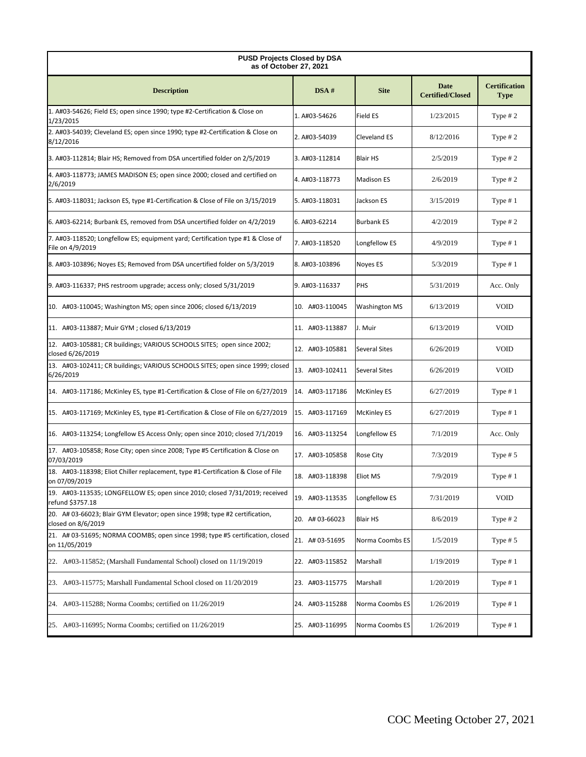| <b>PUSD Projects Closed by DSA</b><br>as of October 27, 2021                                                   |                 |                      |                                 |                                     |  |  |  |
|----------------------------------------------------------------------------------------------------------------|-----------------|----------------------|---------------------------------|-------------------------------------|--|--|--|
| <b>Description</b>                                                                                             | DSA#            | <b>Site</b>          | Date<br><b>Certified/Closed</b> | <b>Certification</b><br><b>Type</b> |  |  |  |
| 1. A#03-54626; Field ES; open since 1990; type #2-Certification & Close on<br>1/23/2015                        | 1. A#03-54626   | Field ES             | 1/23/2015                       | Type $# 2$                          |  |  |  |
| 2. A#03-54039; Cleveland ES; open since 1990; type #2-Certification & Close on<br>8/12/2016                    | 2. A#03-54039   | Cleveland ES         | 8/12/2016                       | Type $# 2$                          |  |  |  |
| 3. A#03-112814; Blair HS; Removed from DSA uncertified folder on 2/5/2019                                      | 3. A#03-112814  | <b>Blair HS</b>      | 2/5/2019                        | Type $# 2$                          |  |  |  |
| 4. A#03-118773; JAMES MADISON ES; open since 2000; closed and certified on<br>2/6/2019                         | 4. A#03-118773  | <b>Madison ES</b>    | 2/6/2019                        | Type $# 2$                          |  |  |  |
| 5. A#03-118031; Jackson ES, type #1-Certification & Close of File on 3/15/2019                                 | Jackson ES      | 3/15/2019            | Type $# 1$                      |                                     |  |  |  |
| 6. A#03-62214; Burbank ES, removed from DSA uncertified folder on 4/2/2019                                     | 6. A#03-62214   |                      |                                 |                                     |  |  |  |
| 7. A#03-118520; Longfellow ES; equipment yard; Certification type #1 & Close of<br>File on 4/9/2019            | 7. A#03-118520  | Longfellow ES        | 4/9/2019                        | Type $# 1$                          |  |  |  |
| 8. A#03-103896; Noyes ES; Removed from DSA uncertified folder on 5/3/2019                                      | 8. A#03-103896  | Noyes ES             | 5/3/2019                        | Type $# 1$                          |  |  |  |
| 9. A#03-116337; PHS restroom upgrade; access only; closed 5/31/2019                                            | 9. A#03-116337  | PHS                  | 5/31/2019                       | Acc. Only                           |  |  |  |
| 10. A#03-110045; Washington MS; open since 2006; closed 6/13/2019                                              | 10. A#03-110045 | <b>Washington MS</b> | 6/13/2019                       | <b>VOID</b>                         |  |  |  |
| 11. A#03-113887; Muir GYM; closed 6/13/2019                                                                    | 11. A#03-113887 | J. Muir              | 6/13/2019                       | <b>VOID</b>                         |  |  |  |
| 12. A#03-105881; CR buildings; VARIOUS SCHOOLS SITES; open since 2002;<br>closed 6/26/2019                     | 12. A#03-105881 | <b>Several Sites</b> | 6/26/2019                       | <b>VOID</b>                         |  |  |  |
| 13. A#03-102411; CR buildings; VARIOUS SCHOOLS SITES; open since 1999; closed<br>6/26/2019                     | 13. A#03-102411 | <b>Several Sites</b> | 6/26/2019                       | <b>VOID</b>                         |  |  |  |
| 14. A#03-117186; McKinley ES, type #1-Certification & Close of File on 6/27/2019                               | 14. A#03-117186 | <b>McKinley ES</b>   | 6/27/2019                       | Type $# 1$                          |  |  |  |
| 15. A#03-117169; McKinley ES, type #1-Certification & Close of File on 6/27/2019                               | 15. A#03-117169 | <b>McKinley ES</b>   | 6/27/2019                       | Type $# 1$                          |  |  |  |
| 16. A#03-113254; Longfellow ES Access Only; open since 2010; closed 7/1/2019<br>16. A#03-113254                |                 | Longfellow ES        | 7/1/2019                        | Acc. Only                           |  |  |  |
| 17. A#03-105858; Rose City; open since 2008; Type #5 Certification & Close on<br>17. A#03-105858<br>07/03/2019 |                 | Rose City            | 7/3/2019                        | Type $# 5$                          |  |  |  |
| 18. A#03-118398; Eliot Chiller replacement, type #1-Certification & Close of File<br>on 07/09/2019             | 18. A#03-118398 | <b>Eliot MS</b>      | 7/9/2019                        | Type $# 1$                          |  |  |  |
| 19. A#03-113535; LONGFELLOW ES; open since 2010; closed 7/31/2019; received<br>refund \$3757.18                | 19. A#03-113535 | Longfellow ES        | 7/31/2019                       | <b>VOID</b>                         |  |  |  |
| 20. A# 03-66023; Blair GYM Elevator; open since 1998; type #2 certification,<br>closed on 8/6/2019             | 20. A# 03-66023 | <b>Blair HS</b>      | 8/6/2019                        | Type $# 2$                          |  |  |  |
| 21. A# 03-51695; NORMA COOMBS; open since 1998; type #5 certification, closed<br>on 11/05/2019                 | 21. A# 03-51695 | Norma Coombs ES      | 1/5/2019                        | Type $# 5$                          |  |  |  |
| 22. A#03-115852; (Marshall Fundamental School) closed on 11/19/2019                                            | 22. A#03-115852 | Marshall             | 1/19/2019                       | Type $# 1$                          |  |  |  |
| 23. A#03-115775; Marshall Fundamental School closed on 11/20/2019                                              | 23. A#03-115775 | Marshall             | 1/20/2019                       | Type $# 1$                          |  |  |  |
| 24. A#03-115288; Norma Coombs; certified on 11/26/2019                                                         | 24. A#03-115288 | Norma Coombs ES      | 1/26/2019                       | Type $# 1$                          |  |  |  |
| 25. A#03-116995; Norma Coombs; certified on 11/26/2019                                                         | 25. A#03-116995 | Norma Coombs ES      | 1/26/2019                       | Type $# 1$                          |  |  |  |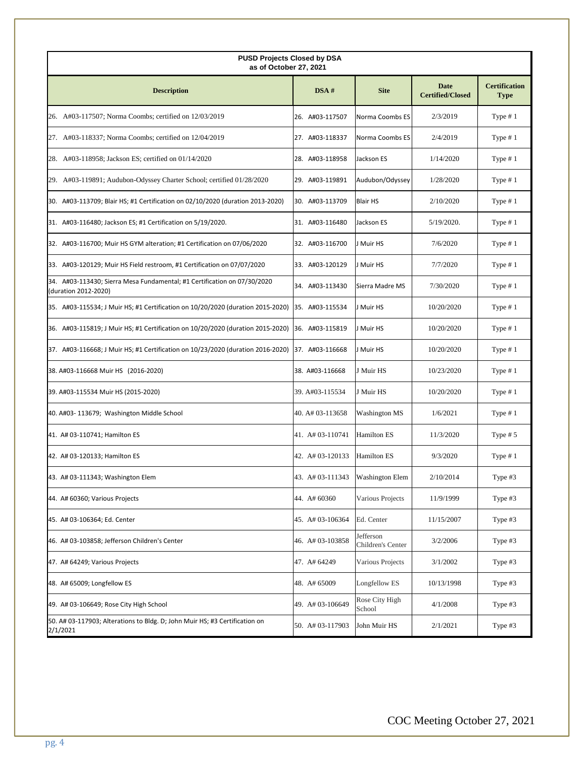| <b>PUSD Projects Closed by DSA</b><br>as of October 27, 2021                                     |                  |                                |                                 |                                     |  |  |  |  |
|--------------------------------------------------------------------------------------------------|------------------|--------------------------------|---------------------------------|-------------------------------------|--|--|--|--|
| <b>Description</b>                                                                               | DSA#             | <b>Site</b>                    | Date<br><b>Certified/Closed</b> | <b>Certification</b><br><b>Type</b> |  |  |  |  |
| 26. A#03-117507; Norma Coombs; certified on 12/03/2019                                           | 26. A#03-117507  | Norma Coombs ES                | 2/3/2019                        | Type $# 1$                          |  |  |  |  |
| 27. A#03-118337; Norma Coombs; certified on 12/04/2019                                           | 27. A#03-118337  | Norma Coombs ES                | 2/4/2019                        | Type $# 1$                          |  |  |  |  |
| 28. A#03-118958; Jackson ES; certified on 01/14/2020                                             | 28. A#03-118958  | Jackson ES                     | 1/14/2020                       | Type $# 1$                          |  |  |  |  |
| 29. A#03-119891; Audubon-Odyssey Charter School; certified 01/28/2020                            | 29. A#03-119891  | Audubon/Odyssey                | 1/28/2020                       | Type $# 1$                          |  |  |  |  |
| 30. A#03-113709; Blair HS; #1 Certification on 02/10/2020 (duration 2013-2020)                   | 30. A#03-113709  | <b>Blair HS</b>                | 2/10/2020                       | Type $# 1$                          |  |  |  |  |
| 31. A#03-116480; Jackson ES; #1 Certification on 5/19/2020.                                      | 31. A#03-116480  | Jackson ES                     | 5/19/2020.                      | Type $# 1$                          |  |  |  |  |
| 32. A#03-116700; Muir HS GYM alteration; #1 Certification on 07/06/2020                          | 32. A#03-116700  | J Muir HS                      | 7/6/2020                        | Type $# 1$                          |  |  |  |  |
| 33. A#03-120129; Muir HS Field restroom, #1 Certification on 07/07/2020                          | 33. A#03-120129  | J Muir HS                      | 7/7/2020                        | Type $# 1$                          |  |  |  |  |
| 34. A#03-113430; Sierra Mesa Fundamental; #1 Certification on 07/30/2020<br>(duration 2012-2020) | 34. A#03-113430  | Sierra Madre MS                | 7/30/2020                       | Type $# 1$                          |  |  |  |  |
| 35. A#03-115534; J Muir HS; #1 Certification on 10/20/2020 (duration 2015-2020)                  | 35. A#03-115534  | J Muir HS                      | 10/20/2020                      | Type $# 1$                          |  |  |  |  |
| 36. A#03-115819; J Muir HS; #1 Certification on 10/20/2020 (duration 2015-2020)                  | 36. A#03-115819  | J Muir HS                      | 10/20/2020                      | Type $# 1$                          |  |  |  |  |
| 37. A#03-116668; J Muir HS; #1 Certification on 10/23/2020 (duration 2016-2020)                  | 37. A#03-116668  | J Muir HS                      | 10/20/2020                      | Type $# 1$                          |  |  |  |  |
| 38. A#03-116668 Muir HS (2016-2020)                                                              | 38. A#03-116668  | J Muir HS                      | 10/23/2020                      | Type $# 1$                          |  |  |  |  |
| 39. A#03-115534 Muir HS (2015-2020)                                                              | 39. A#03-115534  | J Muir HS                      | 10/20/2020                      | Type $# 1$                          |  |  |  |  |
| 40. A#03-113679; Washington Middle School                                                        | 40. A# 03-113658 | <b>Washington MS</b>           | 1/6/2021                        | Type $# 1$                          |  |  |  |  |
| 41. A# 03-110741; Hamilton ES                                                                    | 41. A# 03-110741 | <b>Hamilton ES</b>             | 11/3/2020                       | Type $# 5$                          |  |  |  |  |
| 42. A# 03-120133; Hamilton ES                                                                    | 42. A# 03-120133 | <b>Hamilton ES</b>             | 9/3/2020                        | Type $# 1$                          |  |  |  |  |
| 43. A# 03-111343; Washington Elem                                                                | 43. A# 03-111343 | <b>Washington Elem</b>         | 2/10/2014                       | Type #3                             |  |  |  |  |
| 44. A# 60360; Various Projects                                                                   | 44. A# 60360     | Various Projects               | 11/9/1999                       | Type #3                             |  |  |  |  |
| 45. A# 03-106364; Ed. Center                                                                     | 45. A# 03-106364 | Ed. Center                     | 11/15/2007                      | Type $#3$                           |  |  |  |  |
| 46. A# 03-103858; Jefferson Children's Center                                                    | 46. A#03-103858  | Jefferson<br>Children's Center | 3/2/2006                        | Type $#3$                           |  |  |  |  |
| 47. A# 64249; Various Projects                                                                   | 47. A# 64249     | Various Projects               | 3/1/2002                        | Type $#3$                           |  |  |  |  |
| 48. A# 65009; Longfellow ES                                                                      | 48. A# 65009     | Longfellow ES                  | 10/13/1998                      | Type #3                             |  |  |  |  |
| 49. A# 03-106649; Rose City High School                                                          | 49. A# 03-106649 | Rose City High<br>School       | 4/1/2008                        | Type $#3$                           |  |  |  |  |
| 50. A# 03-117903; Alterations to Bldg. D; John Muir HS; #3 Certification on<br>2/1/2021          | 50. A# 03-117903 | John Muir HS                   | 2/1/2021                        | Type #3                             |  |  |  |  |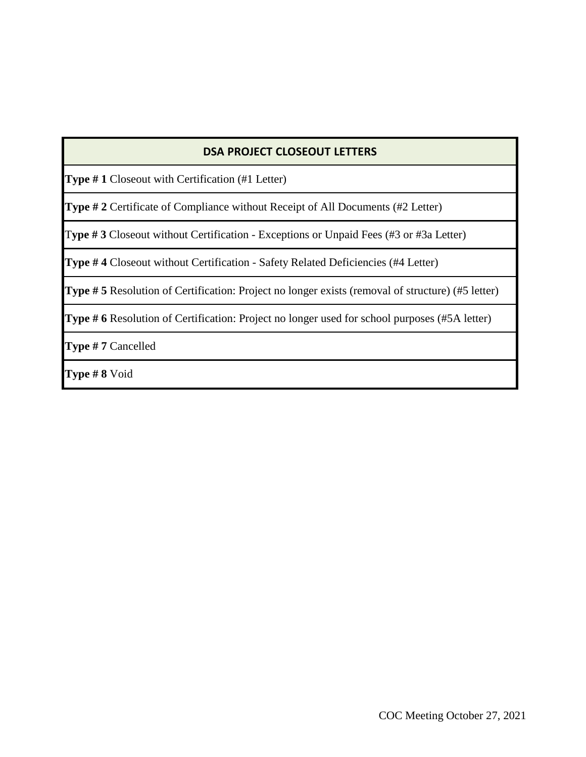### **DSA PROJECT CLOSEOUT LETTERS**

**Type # 1** Closeout with Certification (#1 Letter)

**Type # 2** Certificate of Compliance without Receipt of All Documents (#2 Letter)

T**ype # 3** Closeout without Certification - Exceptions or Unpaid Fees (#3 or #3a Letter)

**Type # 4** Closeout without Certification - Safety Related Deficiencies (#4 Letter)

**Type # 5** Resolution of Certification: Project no longer exists (removal of structure) (#5 letter)

**Type # 6** Resolution of Certification: Project no longer used for school purposes (#5A letter)

**Type # 7** Cancelled

**Type # 8** Void